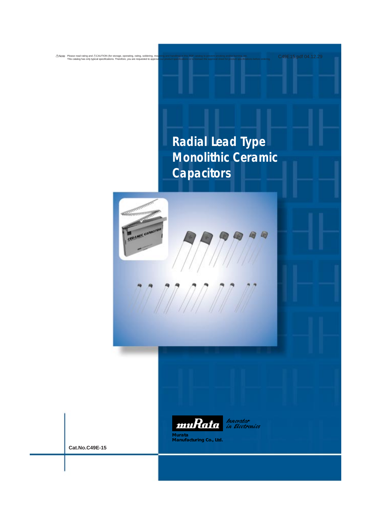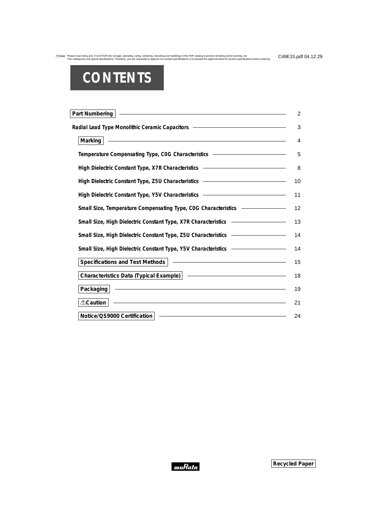# **CONTENTS**

| Part Numbering<br>$\overline{2}$                                                                                                                                                                                                    |
|-------------------------------------------------------------------------------------------------------------------------------------------------------------------------------------------------------------------------------------|
| Radial Lead Type Monolithic Ceramic Capacitors – The Content of Type Monolithic Ceramic Capacitors – The Content of Type Monolithic Ceramic Capacitors – The Content of Type Monolithic Ceramic Capacitors – The Content of Ty<br>3 |
| <u> 1989 - Johann Harry Harry Harry Harry Harry Harry Harry Harry Harry Harry Harry Harry Harry Harry Harry Harry</u><br>Marking $ $<br>4                                                                                           |
| Temperature Compensating Type, COG Characteristics - The Company Company of Temperature Company of Type, COG Characteristics<br>5                                                                                                   |
| High Dielectric Constant Type, X7R Characteristics <b>Constant Constant Constant Constant</b><br>8                                                                                                                                  |
| High Dielectric Constant Type, Z5U Characteristics - The Constant Constant Constant Orientes<br>10                                                                                                                                  |
| High Dielectric Constant Type, Y5V Characteristics <b>National Action Constant Constant</b><br>11                                                                                                                                   |
| 12                                                                                                                                                                                                                                  |
| 13                                                                                                                                                                                                                                  |
| 14                                                                                                                                                                                                                                  |
| 14                                                                                                                                                                                                                                  |
| 15                                                                                                                                                                                                                                  |
| 18                                                                                                                                                                                                                                  |
| <u> 1989 - Johann Harry Harry Harry Harry Harry Harry Harry Harry Harry Harry Harry Harry Harry Harry Harry Harry</u><br>Packaging<br>19                                                                                            |
| <u> 1989 - Johann Stoff, fransk politik (f. 1989)</u><br><b>∆Caution</b><br>21                                                                                                                                                      |
| <u> 1989 - Andrea Stadt Britain, amerikansk politik (</u><br>Notice/QS9000 Certification<br>24                                                                                                                                      |

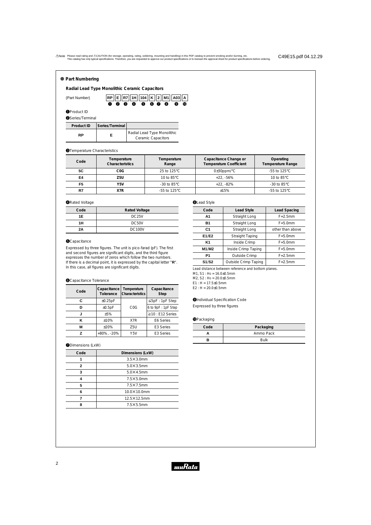#### o **Part Numbering**

**Radial Lead Type Monolithic Ceramic Capacitors**



#### **O**Product ID

(Part Number)

| <b>@Series/Terminal</b> |                 |                                                          |  |  |  |  |  |
|-------------------------|-----------------|----------------------------------------------------------|--|--|--|--|--|
| Product ID              | Series/Terminal |                                                          |  |  |  |  |  |
| RP                      | F               | Radial Lead Type Monolithic<br><b>Ceramic Capacitors</b> |  |  |  |  |  |

#### **@Temperature Characteristics**

| Code                  | Temperature<br>Temperature<br>Characteristics<br>Range |                                   | Capacitance Change or<br><b>Temperature Coefficient</b> | Operating<br>Temperature Range    |  |
|-----------------------|--------------------------------------------------------|-----------------------------------|---------------------------------------------------------|-----------------------------------|--|
| 5C                    | COG                                                    | 25 to 125 $\mathrm{^{\circ}C}$    | $0\pm 30$ ppm/ $\degree$ C                              | $-55$ to 125°C                    |  |
| E4<br>Z5U             |                                                        | 10 to $85^{\circ}$ C              | $+22. -56%$                                             | 10 to $85^{\circ}$ C              |  |
| F <sub>5</sub><br>Y5V |                                                        | $-30$ to 85 $\degree$ C           | $+22. -82%$                                             | $-30$ to 85 $\degree$ C           |  |
| X7R<br>R7             |                                                        | $-55$ to 125 $\mathrm{^{\circ}C}$ | $+15%$                                                  | $-55$ to 125 $\mathrm{^{\circ}C}$ |  |

#### **ORated Voltage**

| . .  |                      |
|------|----------------------|
| Code | <b>Rated Voltage</b> |
| 1E   | DC <sub>25</sub> V   |
| 1H   | DC50V                |
| 2A   | <b>DC100V</b>        |

#### **O**Capacitance

Expressed by three figures. The unit is pico-farad (pF). The first and second figures are significant digits, and the third figure expresses the number of zeros which follow the two numbers. If there is a decimal point, it is expressed by the capital letter "**R**". In this case, all figures are significant digits.

#### **O**Capacitance Tolerance

| Code | Capacitance<br>Tolerance | Temperature<br>Characteristics | Capacitance<br>Step    |
|------|--------------------------|--------------------------------|------------------------|
| С    | ±0.25pF                  |                                | $\leq$ 5pF : 1pF Step  |
| ח    | ±0.5pF                   | C <sub>0</sub> G               | 6 to 9pF : 1pF Step    |
| J    | $+5%$                    |                                | $\geq$ 10 : E12 Series |
| κ    | ±10%                     | X7R                            | E6 Series              |
| М    | $+20%$                   | Z5U                            | E <sub>3</sub> Series  |
| 7    | +80%, -20%               | Y <sub>5</sub> V               | E <sub>3</sub> Series  |

#### **ODimensions (LxW)**

| Code | Dimensions (LxW)    |
|------|---------------------|
| 1    | $3.5\times3.0$ mm   |
| 2    | $5.0 \times 3.5$ mm |
| 3    | $5.0\times4.5$ mm   |
| 4    | $7.5\times5.0$ mm   |
| 5    | $7.5\times7.5$ mm   |
| 6    | 10.0×10.0mm         |
|      | 12.5×12.5mm         |
| Զ    | $7.5\times5.5$ mm   |

# **OLead Style**

| Code           | <b>Lead Style</b>      | Lead Spacing     |
|----------------|------------------------|------------------|
| A1             | Straight Long          | $F = 2.5$ mm     |
| <b>B1</b>      | Straight Long          | $F=5.0$ mm       |
| C <sub>1</sub> | Straight Long          | other than above |
| E1/E2          | <b>Straight Taping</b> | $F=5.0$ mm       |
| K1             | Inside Crimp           | $F=5.0$ mm       |
| M1/M2          | Inside Crimp Taping    | $F = 5.0$ mm     |
| P <sub>1</sub> | Outside Crimp          | $F = 2.5$ mm     |
| S1/S2          | $F = 2.5$ mm           |                  |

Lead distance between reference and bottom planes.

M1, S1 : Ho = 16.0±0.5mm

M2, S2 : H0 = 20.0±0.5mm

E1 : H = 17.5±0.5mm  $E2 : H = 20.0 \pm 0.5$ mm

#### **OIndividual Specification Code** Expressed by three figures

#### **O**Packaging

| Code | Packaging   |
|------|-------------|
|      | Ammo Pack   |
|      | <b>Bulk</b> |

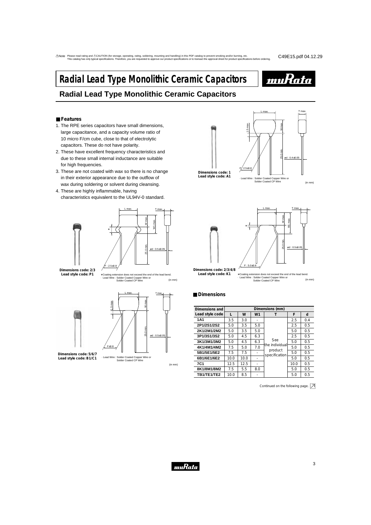# **Radial Lead Type Monolithic Ceramic Capacitors**



T max.

(in mm)

# **Radial Lead Type Monolithic Ceramic Capacitors**

#### ■ **Features**

- 1. The RPE series capacitors have small dimensions, large capacitance, and a capacity volume ratio of 10 micro F/cm cube, close to that of electrolytic capacitors. These do not have polarity.
- 2. These have excellent frequency characteristics and due to these small internal inductance are suitable for high frequencies.
- 3. These are not coated with wax so there is no change in their exterior appearance due to the outflow of wax during soldering or solvent during cleansing.
- 4. These are highly inflammable, having characteristics equivalent to the UL94V-0 standard.





1.5 max.  $F/3.5 \pm 0.8$ W max. 25.0 min. ød : 0.4±0.05 · Lead Wire : Solder Coated Copper Wire or Solder Coated CP Wire **Dimensions code: 1 Lead style code: A1**

L max.



#### ■ **Dimensions**

| Dimensions and  |      |      |                | Dimensions (mm)                                   |      |     |
|-----------------|------|------|----------------|---------------------------------------------------|------|-----|
| Lead style code | L    | W    | W <sub>1</sub> |                                                   | F    | d   |
| <b>1A1</b>      | 3.5  | 3.0  |                |                                                   | 2.5  | 0.4 |
| 2P1/2S1/2S2     | 5.0  | 3.5  | 5.0            |                                                   | 2.5  | 0.5 |
| 2K1/2M1/2M2     | 5.0  | 3.5  | 5.0            |                                                   | 5.0  | 0.5 |
| 3P1/3S1/3S2     | 5.0  | 4.5  | 6.3            | See<br>the individual<br>product<br>specification | 2.5  | 0.5 |
| 3K1/3M1/3M2     | 5.0  | 4.5  | 6.3            |                                                   | 5.0  | 0.5 |
| 4K1/4M1/4M2     | 7.5  | 5.0  | 7.0            |                                                   | 5.0  | 0.5 |
| 5B1/5E1/5E2     | 7.5  | 7.5  |                |                                                   | 5.0  | 0.5 |
| 6B1/6E1/6E2     | 10.0 | 10.0 |                |                                                   | 5.0  | 0.5 |
| <b>7C1</b>      | 12.5 | 12.5 |                |                                                   | 10.0 | 0.5 |
| 8K1/8M1/8M2     | 7.5  | 5.5  | 8.0            |                                                   | 5.0  | 0.5 |
| TB1/TE1/TE2     | 10.0 | 8.5  |                |                                                   | 5.0  | 0.5 |

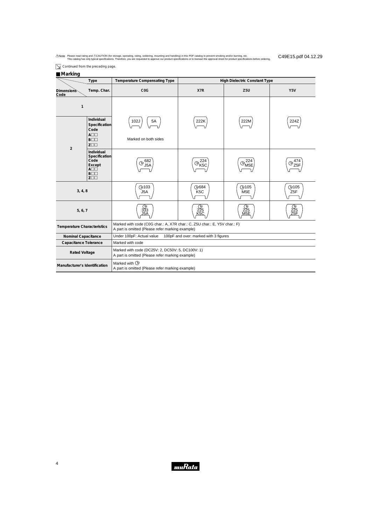$\boxed{\searrow}$  Continued from the preceding page.

#### ■ **Marking**

| Type                               |                                                                                                              | Temperature Compensating Type                                                                                                 | <b>High Dielectric Constant Type</b> |                                 |                                |  |  |  |  |
|------------------------------------|--------------------------------------------------------------------------------------------------------------|-------------------------------------------------------------------------------------------------------------------------------|--------------------------------------|---------------------------------|--------------------------------|--|--|--|--|
| <b>Dimensions</b><br>Code          | Temp. Char.                                                                                                  | C <sub>0</sub> G                                                                                                              | X7R                                  | Z <sub>5U</sub>                 | Y <sub>5</sub> V               |  |  |  |  |
| $\mathbf{1}$                       |                                                                                                              |                                                                                                                               |                                      |                                 |                                |  |  |  |  |
|                                    | Individual<br>Specification<br>Code<br>$A\square\square$                                                     | 102J<br>5A                                                                                                                    | 222K                                 | 222M                            | 224Z                           |  |  |  |  |
|                                    | $B\square\square$<br>$Z\square\square$                                                                       | Marked on both sides                                                                                                          |                                      |                                 |                                |  |  |  |  |
| $\overline{2}$                     | Individual<br>Specification<br>Code<br>Except<br>$A\square\square$<br>$B\square\square$<br>$Z\square\square$ | 682<br>(Ņ<br>J5A                                                                                                              | 224<br>ΫM,<br>'K5C                   | 224<br>"M5E                     | 474<br>(M                      |  |  |  |  |
| 3, 4, 8                            |                                                                                                              | <b>M103</b><br>J <sub>5</sub> A                                                                                               | M684<br>K <sub>5</sub> C             | <b>M105</b><br>M <sub>5</sub> E | <b>M105</b><br>Z <sub>5F</sub> |  |  |  |  |
| 5, 6, 7                            |                                                                                                              | 333                                                                                                                           | 225                                  | 225<br>M <sub>5</sub> E         | 225<br>Z5F                     |  |  |  |  |
| <b>Temperature Characteristics</b> |                                                                                                              | Marked with code (C0G char.: A, X7R char.: C, Z5U char.: E, Y5V char.: F)<br>A part is omitted (Please refer marking example) |                                      |                                 |                                |  |  |  |  |
| <b>Nominal Capacitance</b>         |                                                                                                              | Under 100pF: Actual value<br>100pF and over: marked with 3 figures                                                            |                                      |                                 |                                |  |  |  |  |
| Capacitance Tolerance              |                                                                                                              | Marked with code                                                                                                              |                                      |                                 |                                |  |  |  |  |
| <b>Rated Voltage</b>               |                                                                                                              | Marked with code (DC25V: 2, DC50V: 5, DC100V: 1)<br>A part is omitted (Please refer marking example)                          |                                      |                                 |                                |  |  |  |  |
| Manufacturer's Identification      |                                                                                                              | Marked with $\widehat{M}$<br>A part is omitted (Please refer marking example)                                                 |                                      |                                 |                                |  |  |  |  |

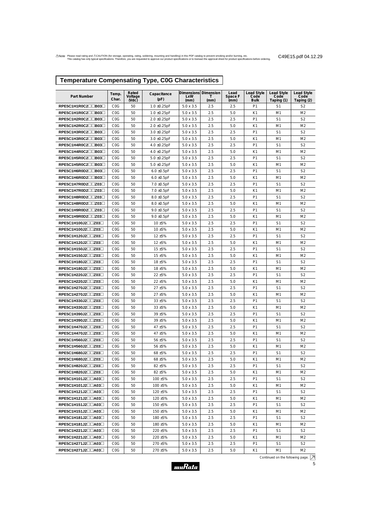# **Temperature Compensating Type, C0G Characteristics**

| <b>Part Number</b>                       | Temp.<br>Char.                       | Rated<br>Voltage  | Capacitance<br>(pF) | Dimensions Dimension<br>LxW          | т           | Lead<br>Space F | <b>Lead Style</b><br>Code | <b>Lead Style</b><br>Code    | <b>Lead Style</b><br>Code        |
|------------------------------------------|--------------------------------------|-------------------|---------------------|--------------------------------------|-------------|-----------------|---------------------------|------------------------------|----------------------------------|
| RPE5C1H1R0C2□□B03□                       | C <sub>0</sub> G                     | $($ Vdc $)$<br>50 | $1.0 \pm 0.25$ pF   | (mm)<br>$5.0 \times 3.5$             | (mm)<br>2.5 | (mm)<br>2.5     | Bulk<br>P <sub>1</sub>    | Taping (1)<br>S <sub>1</sub> | Taping (2)<br>S <sub>2</sub>     |
| RPE5C1H1R0C2□□B03□                       | C <sub>0</sub> G                     | 50                | $1.0 \pm 0.25$ pF   | $5.0 \times 3.5$                     | 2.5         | 5.0             | K1                        | M1                           | M <sub>2</sub>                   |
| RPE5C1H2R0C2□□B03□                       | C <sub>0</sub> G                     | 50                | $2.0 \pm 0.25$ pF   | $5.0 \times 3.5$                     | 2.5         | 2.5             | P <sub>1</sub>            | S <sub>1</sub>               | S <sub>2</sub>                   |
| RPE5C1H2R0C2□□B03□                       | COG                                  | 50                | $2.0 \pm 0.25$ pF   | $5.0 \times 3.5$                     | 2.5         | 5.0             | K1                        | M1                           | M <sub>2</sub>                   |
| RPE5C1H3R0C2□□B03□                       | C <sub>0</sub> G                     | 50                | $3.0 \pm 0.25$ pF   | $5.0 \times 3.5$                     | 2.5         | 2.5             | P <sub>1</sub>            | S1                           | S <sub>2</sub>                   |
| RPE5C1H3R0C2□□B03□                       | C <sub>0</sub> G                     | 50                | $3.0 \pm 0.25$ pF   | $5.0 \times 3.5$                     | 2.5         | 5.0             | K1                        | M1                           | M <sub>2</sub>                   |
| RPE5C1H4R0C2□□B03□                       | C <sub>0</sub> G                     | 50                | $4.0 \pm 0.25$ pF   | $5.0 \times 3.5$                     | 2.5         | 2.5             | P <sub>1</sub>            | S <sub>1</sub>               | S <sub>2</sub>                   |
| RPE5C1H4R0C2□□B03□                       | C <sub>0</sub> G                     | 50                | $4.0 \pm 0.25$ pF   | $5.0 \times 3.5$                     | 2.5         | 5.0             | K1                        | M1                           | M <sub>2</sub>                   |
| RPE5C1H5R0C2□□B03□                       | C <sub>0</sub> G                     | 50                | $5.0 \pm 0.25$ pF   | $5.0 \times 3.5$                     | 2.5         | 2.5             | P <sub>1</sub>            | S <sub>1</sub>               | S <sub>2</sub>                   |
| RPE5C1H5R0C2□□B03□                       | C <sub>0</sub> G                     | 50                | $5.0 \pm 0.25$ pF   | $5.0 \times 3.5$                     | 2.5         | 5.0             | K1                        | M1                           | M <sub>2</sub>                   |
| RPE5C1H6R0D2□□B03□                       | C <sub>0</sub> G                     | 50                | $6.0 \pm 0.5$ pF    | $5.0 \times 3.5$                     | 2.5         | 2.5             | P <sub>1</sub>            | S <sub>1</sub>               | S <sub>2</sub>                   |
| RPE5C1H6R0D2□□B03□                       | C <sub>0</sub> G                     | 50                | $6.0 \pm 0.5$ pF    | $5.0 \times 3.5$                     | 2.5         | 5.0             | K1                        | M1                           | M <sub>2</sub>                   |
| RPE5C1H7R0D2 <sup>1203</sup>             | C <sub>0</sub> G                     | 50                | $7.0 \pm 0.5pF$     | $5.0 \times 3.5$                     | 2.5         | 2.5             | P <sub>1</sub>            | S <sub>1</sub>               | S <sub>2</sub>                   |
| RPE5C1H7R0D2□□Z03□                       | C <sub>0</sub> G                     | 50                | $7.0 \pm 0.5$ pF    | $5.0 \times 3.5$                     | 2.5         | 5.0             | K1                        | M1                           | M <sub>2</sub>                   |
| RPE5C1H8R0D2□□Z03□                       | C <sub>0</sub> G                     | 50                | $8.0 \pm 0.5$ pF    | $5.0 \times 3.5$                     | 2.5         | 2.5             | P <sub>1</sub>            | S <sub>1</sub>               | S <sub>2</sub>                   |
| RPE5C1H8R0D2 <sup>1203</sup>             | C <sub>0</sub> G                     | 50                | $8.0 \pm 0.5$ pF    | $5.0 \times 3.5$                     | 2.5         | 5.0             | K1                        | M1                           | M <sub>2</sub>                   |
| RPE5C1H9R0D2 <sup>1203</sup>             | C <sub>0</sub> G                     | 50                | $9.0 \pm 0.5$ pF    | $5.0 \times 3.5$                     | 2.5         | 2.5             | P <sub>1</sub>            | S <sub>1</sub>               | S <sub>2</sub>                   |
| RPE5C1H9R0D2 <sup>1203</sup>             | C <sub>0</sub> G                     | 50                | $9.0 \pm 0.5$ pF    | $5.0 \times 3.5$                     | 2.5         | 5.0             | K1                        | M1                           | M <sub>2</sub>                   |
| RPE5C1H100J2□□Z03□                       | C <sub>0</sub> G                     | 50                | 10 ±5%              | $5.0 \times 3.5$                     | 2.5         | 2.5             | P <sub>1</sub>            | S <sub>1</sub>               | S <sub>2</sub>                   |
| RPE5C1H100J2□□Z03□                       | C <sub>0</sub> G                     | 50                | 10 ±5%              | $5.0 \times 3.5$                     | 2.5         | 5.0             | K1                        | M1                           | M <sub>2</sub>                   |
| RPE5C1H120J2□□Z03□                       | C <sub>0</sub> G                     | 50                | 12 ±5%              | $5.0 \times 3.5$                     | 2.5         | 2.5             | P <sub>1</sub>            | S <sub>1</sub>               | S <sub>2</sub>                   |
| RPE5C1H120J2□□Z03□                       | C <sub>0</sub> G                     | 50                | 12 ±5%              | $5.0 \times 3.5$                     | 2.5         | 5.0             | K1                        | M1                           | M <sub>2</sub>                   |
| RPE5C1H150J2□□Z03□                       | C <sub>0</sub> G                     | 50                | 15 ±5%              | $5.0 \times 3.5$                     | 2.5         | 2.5             | P <sub>1</sub>            | S <sub>1</sub>               | S <sub>2</sub>                   |
| RPE5C1H150J2□□Z03□                       | C <sub>0</sub> G                     | 50                | 15 ±5%              | $5.0 \times 3.5$                     | 2.5         | 5.0             | K1                        | M1                           | M <sub>2</sub>                   |
| RPE5C1H180J2□□Z03□                       | C <sub>0</sub> G                     | 50                | 18 ±5%              | $5.0 \times 3.5$                     | 2.5         | 2.5             | P <sub>1</sub>            | S <sub>1</sub>               | S <sub>2</sub>                   |
| RPE5C1H180J2□□Z03□                       | C <sub>0</sub> G                     | 50                | 18 ±5%              | $5.0 \times 3.5$                     | 2.5         | 5.0             | K1                        | M1                           | M <sub>2</sub>                   |
| RPE5C1H220J2□□Z03□                       | C <sub>0</sub> G                     | 50                | 22 ±5%              | $5.0 \times 3.5$                     | 2.5         | 2.5             | P <sub>1</sub>            | S <sub>1</sub>               | S <sub>2</sub>                   |
| RPE5C1H220J2□□Z03□                       | C <sub>0</sub> G                     | 50                | 22 ±5%              | $5.0 \times 3.5$                     | 2.5         | 5.0             | K1                        | M1                           | M <sub>2</sub>                   |
| RPE5C1H270J2□□Z03□                       | C <sub>0</sub> G                     | 50                | 27 ±5%              | $5.0 \times 3.5$                     | 2.5         | 2.5             | P <sub>1</sub>            | S1                           | S <sub>2</sub>                   |
| RPE5C1H270J2□□Z03□                       | C <sub>0</sub> G                     | 50                | 27 ±5%              | $5.0 \times 3.5$                     | 2.5         | 5.0             | K1                        | M1                           | M <sub>2</sub>                   |
| RPE5C1H330J2□□Z03□                       | C <sub>0</sub> G                     | 50                | 33 ±5%              | $5.0 \times 3.5$                     | 2.5         | 2.5             | P <sub>1</sub>            | S <sub>1</sub>               | S <sub>2</sub>                   |
| RPE5C1H330J2□□Z03□<br>RPE5C1H390J2□□Z03□ | C <sub>0</sub> G<br>C <sub>0</sub> G | 50<br>50          | 33 ±5%<br>$39 + 5%$ | $5.0 \times 3.5$<br>$5.0 \times 3.5$ | 2.5<br>2.5  | 5.0<br>2.5      | K1<br>P <sub>1</sub>      | M1<br>S <sub>1</sub>         | M <sub>2</sub><br>S <sub>2</sub> |
| RPE5C1H390J2□□Z03□                       | C <sub>0</sub> G                     | 50                | 39 ±5%              | $5.0 \times 3.5$                     | 2.5         | 5.0             | K1                        | M1                           | M2                               |
| RPE5C1H470J2□□Z03□                       | C <sub>0</sub> G                     | 50                | 47 ±5%              | $5.0 \times 3.5$                     | 2.5         | 2.5             | P <sub>1</sub>            | S <sub>1</sub>               | S <sub>2</sub>                   |
| $RPE5C1H470J2\square Z03\square$         | C <sub>0</sub> G                     | 50                | 47 ±5%              | $5.0 \times 3.5$                     | 2.5         | 5.0             | K1                        | M1                           | M2                               |
| RPE5C1H560J2□□Z03□                       | C <sub>0</sub> G                     | 50                | 56 ±5%              | $5.0 \times 3.5$                     | 2.5         | 2.5             | P <sub>1</sub>            | S1                           | S <sub>2</sub>                   |
| RPE5C1H560J2□□Z03□                       | C <sub>0</sub> G                     | 50                | 56 ±5%              | $5.0 \times 3.5$                     | 2.5         | 5.0             | K1                        | M1                           | M2                               |
| RPE5C1H680J2□□Z03□                       | C <sub>0</sub> G                     | 50                | 68 ±5%              | $5.0 \times 3.5$                     | 2.5         | 2.5             | P <sub>1</sub>            | S1                           | S <sub>2</sub>                   |
| RPE5C1H680J2 <sup>12031</sup>            | C <sub>0</sub> G                     | 50                | 68 ±5%              | $5.0 \times 3.5$                     | 2.5         | 5.0             | K1                        | M1                           | M2                               |
| RPE5C1H820J2□□Z03□                       | C <sub>0</sub> G                     | 50                | 82 ±5%              | $5.0 \times 3.5$                     | 2.5         | 2.5             | P <sub>1</sub>            | S <sub>1</sub>               | S <sub>2</sub>                   |
| RPE5C1H820J2□□Z03□                       | C <sub>0</sub> G                     | 50                | 82 ±5%              | $5.0 \times 3.5$                     | 2.5         | 5.0             | K1                        | M1                           | M <sub>2</sub>                   |
| RPE5C1H101J2□□A03□                       | C <sub>0</sub> G                     | 50                | 100 ±5%             | $5.0 \times 3.5$                     | 2.5         | 2.5             | P <sub>1</sub>            | S1                           | S <sub>2</sub>                   |
| RPE5C1H101J2□□A03□                       | C <sub>0</sub> G                     | 50                | 100 ±5%             | $5.0 \times 3.5$                     | 2.5         | 5.0             | K1                        | M1                           | M2                               |
| RPE5C1H121J2□□A03□                       | C <sub>0</sub> G                     | 50                | 120 ±5%             | $5.0 \times 3.5$                     | 2.5         | 2.5             | P <sub>1</sub>            | S1                           | S2                               |
| RPE5C1H121J2□□A03□                       | C <sub>0</sub> G                     | 50                | 120 ±5%             | $5.0 \times 3.5$                     | 2.5         | 5.0             | K1                        | M1                           | M2                               |
| RPE5C1H151J2□□A03□                       | C <sub>0</sub> G                     | 50                | 150 ±5%             | $5.0 \times 3.5$                     | 2.5         | 2.5             | P <sub>1</sub>            | S1                           | S <sub>2</sub>                   |
| RPE5C1H151J2□□A03□                       | C <sub>0</sub> G                     | 50                | 150 ±5%             | $5.0 \times 3.5$                     | 2.5         | 5.0             | K1                        | M1                           | M2                               |
| RPE5C1H181J2□□A03□                       | C <sub>0</sub> G                     | 50                | 180 ±5%             | $5.0 \times 3.5$                     | 2.5         | 2.5             | P <sub>1</sub>            | S <sub>1</sub>               | S <sub>2</sub>                   |
| RPE5C1H181J2□□A03□                       | C <sub>0</sub> G                     | 50                | 180 ±5%             | $5.0 \times 3.5$                     | 2.5         | 5.0             | K1                        | M1                           | M <sub>2</sub>                   |
| RPE5C1H221J2□□A03□                       | C <sub>0</sub> G                     | 50                | 220 ±5%             | $5.0 \times 3.5$                     | 2.5         | 2.5             | P <sub>1</sub>            | S1                           | S <sub>2</sub>                   |
| RPE5C1H221J2□□A03□                       | C <sub>0</sub> G                     | 50                | 220 ±5%             | $5.0 \times 3.5$                     | 2.5         | 5.0             | K1                        | M1                           | M2                               |
| RPE5C1H271J2□□A03□                       | C <sub>0</sub> G                     | 50                | 270 ±5%             | $5.0 \times 3.5$                     | 2.5         | 2.5             | P <sub>1</sub>            | S1                           | S <sub>2</sub>                   |
| RPE5C1H271J2□□A03□                       | COG                                  | 50                | 270 ±5%             | $5.0 \times 3.5$                     | 2.5         | 5.0             | K1                        | M1                           | M2                               |

muRata

5

Continued on the following page.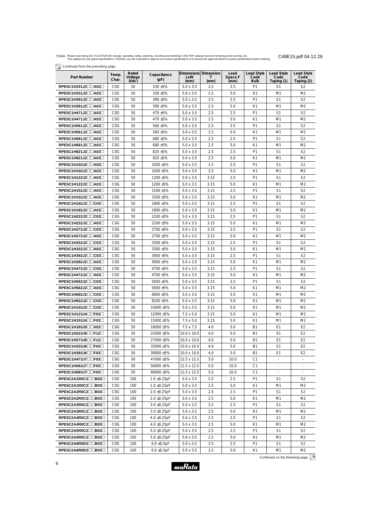$\boxed{\searrow}$  Continued from the preceding page.

| Committed from the preceding page.         |                  |                           |                     |                                     |           |                         |                                          |                                         |                                  |
|--------------------------------------------|------------------|---------------------------|---------------------|-------------------------------------|-----------|-------------------------|------------------------------------------|-----------------------------------------|----------------------------------|
| Part Number                                | Temp.<br>Char.   | Rated<br>Voltage<br>(VdC) | Capacitance<br>(pF) | Dimensions Dimension<br>LxW<br>(mm) | T<br>(mm) | Lead<br>Space F<br>(mm) | <b>Lead Style</b><br>Code<br><b>Bulk</b> | <b>Lead Style</b><br>Code<br>Taping (1) | Lead Style<br>Code<br>Taping (2) |
| RPE5C1H331J2□□A03□                         | C <sub>0</sub> G | 50                        | 330 ±5%             | $5.0 \times 3.5$                    | 2.5       | 2.5                     | P1                                       | S <sub>1</sub>                          | S <sub>2</sub>                   |
| RPE5C1H331J2□□A03□                         | C <sub>0</sub> G | 50                        | 330 ±5%             | $5.0 \times 3.5$                    | 2.5       | 5.0                     | K1                                       | M1                                      | M <sub>2</sub>                   |
| RPE5C1H391J2□□A03□                         | C <sub>0</sub> G | 50                        | 390 ±5%             | $5.0 \times 3.5$                    | 2.5       | 2.5                     | P <sub>1</sub>                           | S <sub>1</sub>                          | S <sub>2</sub>                   |
| RPE5C1H391J2□□A03□                         | C <sub>0</sub> G | 50                        | 390 ±5%             | $5.0 \times 3.5$                    | 2.5       | 5.0                     | K1                                       | M1                                      | M <sub>2</sub>                   |
| RPE5C1H471J2□□A03□                         | C <sub>0</sub> G | 50                        | 470 ±5%             | $5.0 \times 3.5$                    | 2.5       | 2.5                     | P <sub>1</sub>                           | S <sub>1</sub>                          | S <sub>2</sub>                   |
| $RPE5C1H471J2 \Box \Box A03 \Box$          | C <sub>0</sub> G | 50                        | 470 ±5%             | $5.0 \times 3.5$                    | 2.5       | 5.0                     | K1                                       | M1                                      | M <sub>2</sub>                   |
| RPE5C1H561J2□□A03□                         | C <sub>0</sub> G | 50                        | 560 ±5%             | $5.0 \times 3.5$                    | 2.5       | 2.5                     | P <sub>1</sub>                           | S <sub>1</sub>                          | S <sub>2</sub>                   |
| RPE5C1H561J2□□A03□                         | C <sub>0</sub> G | 50                        | 560 ±5%             | $5.0 \times 3.5$                    | 2.5       | 5.0                     | K1                                       | M1                                      | M <sub>2</sub>                   |
| RPE5C1H681J2□□A03□                         | C <sub>0</sub> G | 50                        | 680 ±5%             | $5.0 \times 3.5$                    | 2.5       | 2.5                     | P <sub>1</sub>                           | S1                                      | S <sub>2</sub>                   |
| RPE5C1H681J2□□A03□                         | C <sub>0</sub> G | 50                        | 680 ±5%             | $5.0 \times 3.5$                    | 2.5       | 5.0                     | K1                                       | M1                                      | M <sub>2</sub>                   |
| RPE5C1H821J2□□A03□                         | C <sub>0</sub> G | 50                        | 820 ±5%             | $5.0 \times 3.5$                    | 2.5       | 2.5                     | P <sub>1</sub>                           | S <sub>1</sub>                          | S <sub>2</sub>                   |
| RPE5C1H821J2□□A03□                         | C <sub>0</sub> G | 50                        | 820 ±5%             | $5.0 \times 3.5$                    | 2.5       | 5.0                     | K1                                       | M1                                      | M <sub>2</sub>                   |
| RPE5C1H102J2□□A03□                         | C <sub>0</sub> G | 50                        | 1000 ±5%            | $5.0 \times 3.5$                    | 2.5       | 2.5                     | P <sub>1</sub>                           | S <sub>1</sub>                          | S <sub>2</sub>                   |
| RPE5C1H102J2□□A03□                         | C <sub>0</sub> G | 50                        | 1000 ±5%            | $5.0 \times 3.5$                    | 2.5       | 5.0                     | K1                                       | M1                                      | M <sub>2</sub>                   |
| RPE5C1H122J2□□A03□                         | C <sub>0</sub> G | 50                        | 1200 ±5%            | $5.0 \times 3.5$                    | 3.15      | 2.5                     | P <sub>1</sub>                           | S <sub>1</sub>                          | S <sub>2</sub>                   |
| RPE5C1H122J2□□A03□                         | C <sub>0</sub> G | 50                        | 1200 ±5%            | $5.0 \times 3.5$                    | 3.15      | 5.0                     | K1                                       | M1                                      | M <sub>2</sub>                   |
| RPE5C1H152J2□□A03□                         | C <sub>0</sub> G | 50                        | 1500 ±5%            | $5.0 \times 3.5$                    | 3.15      | 2.5                     | P <sub>1</sub>                           | S <sub>1</sub>                          | S <sub>2</sub>                   |
| RPE5C1H152J2□□A03□                         | C <sub>0</sub> G | 50                        | 1500 ±5%            | $5.0 \times 3.5$                    | 3.15      | 5.0                     | K1                                       | M1                                      | M <sub>2</sub>                   |
| RPE5C1H182J2□□C03□                         | C <sub>0</sub> G | 50                        | 1800 ±5%            | $5.0 \times 3.5$                    | 3.15      | 2.5                     | P <sub>1</sub>                           | S <sub>1</sub>                          | S <sub>2</sub>                   |
| RPE5C1H182J2□□A03□                         | C <sub>0</sub> G | 50                        | 1800 ±5%            | $5.0 \times 3.5$                    | 3.15      | 5.0                     | K1                                       | M1                                      | M <sub>2</sub>                   |
| RPE5C1H222J2□□C03□                         | C <sub>0</sub> G | 50                        | 2200 ±5%            | $5.0 \times 3.5$                    | 3.15      | 2.5                     | P <sub>1</sub>                           | S <sub>1</sub>                          | S <sub>2</sub>                   |
| RPE5C1H222J2□□A03□                         | C <sub>0</sub> G | 50                        | 2200 ±5%            | $5.0 \times 3.5$                    | 3.15      | 5.0                     | K1                                       | M1                                      | M <sub>2</sub>                   |
| RPE5C1H272J2□□C03□                         | C <sub>0</sub> G | 50                        | 2700 ±5%            | $5.0 \times 3.5$                    | 3.15      | 2.5                     | P <sub>1</sub>                           | S <sub>1</sub>                          | S <sub>2</sub>                   |
| $RPE5C1H272J2 \square \square A03 \square$ | C <sub>0</sub> G | 50                        | 2700 ±5%            | $5.0 \times 3.5$                    | 3.15      | 5.0                     | K1                                       | M1                                      | M <sub>2</sub>                   |
| RPE5C1H332J2□□C03□                         | C <sub>0</sub> G | 50                        | 3300 ±5%            | $5.0 \times 3.5$                    | 3.15      | 2.5                     | P <sub>1</sub>                           | S <sub>1</sub>                          | S <sub>2</sub>                   |
| RPE5C1H332J2□□A03□                         | C <sub>0</sub> G | 50                        | 3300 ±5%            | $5.0 \times 3.5$                    | 3.15      | 5.0                     | K1                                       | M1                                      | M <sub>2</sub>                   |
| RPE5C1H392J2□□C03□                         | C <sub>0</sub> G | 50                        | 3900 ±5%            | $5.0 \times 3.5$                    | 3.15      | 2.5                     | P <sub>1</sub>                           | S <sub>1</sub>                          | S <sub>2</sub>                   |
| RPE5C1H392J2□□A03□                         | C <sub>0</sub> G | 50                        | 3900 ±5%            | $5.0 \times 3.5$                    | 3.15      | 5.0                     | K1                                       | M1                                      | M <sub>2</sub>                   |
| RPE5C1H472J2□□C03□                         | C <sub>0</sub> G | 50                        | 4700 ±5%            | $5.0 \times 3.5$                    | 3.15      | 2.5                     | P <sub>1</sub>                           | S <sub>1</sub>                          | S <sub>2</sub>                   |
| $RPE5C1H472J2 \square \square A03 \square$ | C <sub>0</sub> G | 50                        | 4700 ±5%            | $5.0 \times 3.5$                    | 3.15      | 5.0                     | K1                                       | M1                                      | M <sub>2</sub>                   |
| RPE5C1H562J2□□C03□                         | C <sub>0</sub> G | 50                        | 5600 ±5%            | $5.0 \times 3.5$                    | 3.15      | 2.5                     | P <sub>1</sub>                           | S <sub>1</sub>                          | S <sub>2</sub>                   |
| RPE5C1H562J2□□A03□                         | C <sub>0</sub> G | 50                        | 5600 ±5%            | $5.0 \times 3.5$                    | 3.15      | 5.0                     | K1                                       | M1                                      | M <sub>2</sub>                   |
| RPE5C1H682J2□□C03□                         | C <sub>0</sub> G | 50                        | 6800 ±5%            | $5.0 \times 3.5$                    | 3.15      | 5.0                     | K1                                       | M1                                      | M <sub>2</sub>                   |
| RPE5C1H822J2□□C03□                         | C <sub>0</sub> G | 50                        | 8200 ±5%            | $5.0 \times 3.5$                    | 3.15      | 5.0                     | K1                                       | M1                                      | M2                               |
| RPE5C1H103J2□□C03□                         | COG              | 50                        | 10000 ±5%           | $5.0 \times 3.5$                    | 3.15      | 5.0                     | K1                                       | M1                                      | M <sub>2</sub>                   |
| RPE5C1H123J4□□F03□                         | C <sub>0</sub> G | 50                        | 12000 ±5%           | $7.5 \times 5.0$                    | 3.15      | 5.0                     | K1                                       | M1                                      | M <sub>2</sub>                   |
| $RPE5C1H153J4\square F03\square$           | C <sub>0</sub> G | 50                        | 15000 ±5%           | $7.5 \times 5.0$                    | 3.15      | 5.0                     | K1                                       | M1                                      | M <sub>2</sub>                   |
| $RPE5C1H183J5 \square Z03 \square$         | C <sub>0</sub> G | 50                        | 18000 ±5%           | $7.5 \times 7.5$                    | 4.0       | 5.0                     | <b>B1</b>                                | E1                                      | E2                               |
| $RPE5C1H223J6\square F12\square$           | C <sub>0</sub> G | 50                        | 22000 ±5%           | 10.0 x 10.0                         | 4.0       | 5.0                     | <b>B1</b>                                | E1                                      | E2                               |
| RPE5C1H273J6 <sup>1</sup> F12 <sup>1</sup> | C <sub>0</sub> G | 50                        | 27000 ±5%           | 10.0 x 10.0                         | 4.0       | 5.0                     | <b>B1</b>                                | E1                                      | E <sub>2</sub>                   |
| RPE5C1H333J6□□F03□                         | COG              | 50                        | 33000 ±5%           | 10.0 x 10.0                         | 4.0       | 5.0                     | <b>B1</b>                                | E1                                      | E <sub>2</sub>                   |
| $RPE5C1H393J6\square F03\square$           | C <sub>0</sub> G | 50                        | 39000 ±5%           | 10.0 x 10.0                         | 4.0       | 5.0                     | <b>B1</b>                                | E <sub>1</sub>                          | E <sub>2</sub>                   |
| RPE5C1H473J7□□F03□                         | COG              | 50                        | 47000 ±5%           | 12.5 x 12.5                         | 5.0       | 10.0                    | C1                                       |                                         |                                  |
| RPE5C1H563J7□□F03□                         | C <sub>0</sub> G | 50                        | 56000 ±5%           | 12.5 x 12.5                         | 5.0       | 10.0                    | C1                                       |                                         |                                  |
| RPE5C1H683J7□□F03□                         | C <sub>0</sub> G | 50                        | 68000 ±5%           | 12.5 x 12.5                         | 5.0       | 10.0                    | C1                                       |                                         |                                  |
| RPE5C2A1R0C2 <sup>1803</sup>               | C <sub>0</sub> G | 100                       | $1.0 \pm 0.25$ pF   | $5.0 \times 3.5$                    | 2.5       | 2.5                     | P <sub>1</sub>                           | S <sub>1</sub>                          | S <sub>2</sub>                   |
| RPE5C2A1R0C2□□B03□                         | COG              | 100                       | $1.0 \pm 0.25$ pF   | $5.0 \times 3.5$                    | 2.5       | 5.0                     | K1                                       | M1                                      | M <sub>2</sub>                   |
| RPE5C2A2R0C200B030                         | COG              | 100                       | $2.0 \pm 0.25$ pF   | $5.0 \times 3.5$                    | 2.5       | 2.5                     | P1                                       | S1                                      | S2                               |
| RPE5C2A2R0C2□□B03□                         | COG              | 100                       | $2.0 \pm 0.25$ pF   | $5.0 \times 3.5$                    | 2.5       | 5.0                     | K1                                       | M1                                      | M <sub>2</sub>                   |
| RPE5C2A3R0C2 <sup>1803</sup>               | C <sub>0</sub> G | 100                       | $3.0 \pm 0.25$ pF   | $5.0 \times 3.5$                    | 2.5       | 2.5                     | P <sub>1</sub>                           | S <sub>1</sub>                          | S <sub>2</sub>                   |
| RPE5C2A3R0C2□□B03□                         | C <sub>0</sub> G | 100                       | $3.0 \pm 0.25$ pF   | $5.0 \times 3.5$                    | 2.5       | 5.0                     | K1                                       | M1                                      | M <sub>2</sub>                   |
| RPE5C2A4R0C2□□B03□                         | C <sub>0</sub> G | 100                       | $4.0 \pm 0.25$ pF   | $5.0 \times 3.5$                    | 2.5       | 2.5                     | P <sub>1</sub>                           | S1                                      | S <sub>2</sub>                   |
| RPE5C2A4R0C200B030                         | C <sub>0</sub> G | 100                       | $4.0 \pm 0.25$ pF   | $5.0 \times 3.5$                    | 2.5       | 5.0                     | K1                                       | M1                                      | M <sub>2</sub>                   |
| RPE5C2A5R0C2□□B03□                         | C <sub>0</sub> G | 100                       | $5.0 \pm 0.25$ pF   | $5.0 \times 3.5$                    | 2.5       | 2.5                     | P <sub>1</sub>                           | S <sub>1</sub>                          | S <sub>2</sub>                   |
| RPE5C2A5R0C2□□B03□                         | C <sub>0</sub> G | 100                       | $5.0 \pm 0.25$ pF   | $5.0 \times 3.5$                    | 2.5       | 5.0                     | K1                                       | M1                                      | M <sub>2</sub>                   |
| RPE5C2A6R0D2□□B03□                         | COG              | 100                       | $6.0 \pm 0.5$ pF    | $5.0 \times 3.5$                    | 2.5       | 2.5                     | P1                                       | S1                                      | S2                               |
| RPE5C2A6R0D2□□B03□                         | C <sub>0</sub> G | 100                       | $6.0 \pm 0.5$ pF    | $5.0 \times 3.5$                    | 2.5       | 5.0                     | K1                                       | M1                                      | M <sub>2</sub>                   |

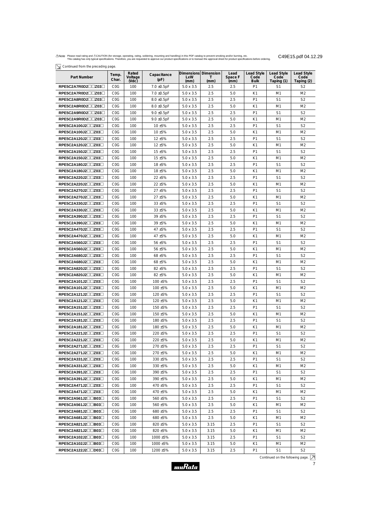$\boxed{\searrow}$  Continued from the preceding page.

| 7 commencement and because bade            |                         |                           |                     |                                      |            |                         |                                   |                                         |                                  |
|--------------------------------------------|-------------------------|---------------------------|---------------------|--------------------------------------|------------|-------------------------|-----------------------------------|-----------------------------------------|----------------------------------|
| Part Number                                | Temp.<br>Char.          | Rated<br>Voltage<br>(Vdc) | Capacitance<br>(pF) | Dimensions Dimension<br>LxW<br>(mm)  | т<br>(mm)  | Lead<br>Space F<br>(mm) | Lead Style<br>Code<br><b>Bulk</b> | <b>Lead Style</b><br>Code<br>Taping (1) | Lead Style<br>Code<br>Taping (2) |
| RPE5C2A7R0D2□□Z03□                         | C <sub>0</sub> G        | 100                       | $7.0 \pm 0.5pF$     | $5.0 \times 3.5$                     | 2.5        | 2.5                     | P1                                | S <sub>1</sub>                          | S <sub>2</sub>                   |
| RPE5C2A7R0D2□□Z03□                         | COG                     | 100                       | $7.0 \pm 0.5pF$     | $5.0 \times 3.5$                     | 2.5        | 5.0                     | K1                                | M1                                      | M <sub>2</sub>                   |
| RPE5C2A8R0D2□□Z03□                         | C <sub>0</sub> G        | 100                       | $8.0 \pm 0.5$ pF    | $5.0 \times 3.5$                     | 2.5        | 2.5                     | P1                                | S <sub>1</sub>                          | S <sub>2</sub>                   |
| RPE5C2A8R0D2□□Z03□                         | C <sub>0</sub> G        | 100                       | $8.0 \pm 0.5$ pF    | $5.0 \times 3.5$                     | 2.5        | 5.0                     | K1                                | M1                                      | M <sub>2</sub>                   |
| RPE5C2A9R0D2□□Z03□                         | C <sub>0</sub> G        | 100                       | $9.0 \pm 0.5$ pF    | $5.0 \times 3.5$                     | 2.5        | 2.5                     | P1                                | S <sub>1</sub>                          | S <sub>2</sub>                   |
| RPE5C2A9R0D2□□Z03□                         | C <sub>0</sub> G        | 100                       | $9.0 \pm 0.5$ pF    | $5.0 \times 3.5$                     | 2.5        | 5.0                     | K1                                | M1                                      | M <sub>2</sub>                   |
| RPE5C2A100J2□□Z03□                         | C <sub>0</sub> G        | 100                       | 10 ±5%              | $5.0 \times 3.5$                     | 2.5        | 2.5                     | P1                                | S <sub>1</sub>                          | S <sub>2</sub>                   |
| RPE5C2A100J2□□Z03□                         | C <sub>0</sub> G        | 100                       | 10 ±5%              | $5.0 \times 3.5$                     | 2.5        | 5.0                     | K1                                | M1                                      | M <sub>2</sub>                   |
| RPE5C2A120J2□□Z03□                         | COG                     | 100                       | 12 ±5%              | $5.0 \times 3.5$                     | 2.5        | 2.5                     | P1                                | S1                                      | S <sub>2</sub>                   |
| RPE5C2A120J2□□Z03□                         | C <sub>0</sub> G        | 100                       | 12 ±5%              | $5.0 \times 3.5$                     | 2.5        | 5.0                     | K1                                | M1                                      | M <sub>2</sub>                   |
| RPE5C2A150J2□□Z03□                         | C <sub>0</sub> G        | 100                       | 15 ±5%              | $5.0 \times 3.5$                     | 2.5        | 2.5                     | P1                                | S <sub>1</sub>                          | S <sub>2</sub>                   |
| RPE5C2A150J2□□Z03□                         | C <sub>0</sub> G        | 100                       | 15 ±5%              | $5.0 \times 3.5$                     | 2.5        | 5.0                     | K1                                | M1                                      | M <sub>2</sub>                   |
| RPE5C2A180J2□□Z03□                         | C <sub>0</sub> G        | 100                       | 18 ±5%              | $5.0 \times 3.5$                     | 2.5        | 2.5                     | P1                                | S <sub>1</sub>                          | S <sub>2</sub>                   |
| RPE5C2A180J2□□Z03□                         | C <sub>0</sub> G        | 100                       | 18 ±5%              | $5.0 \times 3.5$                     | 2.5        | 5.0                     | K1                                | M1                                      | M <sub>2</sub>                   |
| RPE5C2A220J2□□Z03□                         | C <sub>0</sub> G        | 100                       | 22 ±5%              | $5.0 \times 3.5$                     | 2.5        | 2.5                     | P <sub>1</sub>                    | S <sub>1</sub>                          | S <sub>2</sub>                   |
| RPE5C2A220J2□□Z03□                         | C <sub>0</sub> G        | 100                       | 22 ±5%              | $5.0 \times 3.5$                     | 2.5        | 5.0                     | K1                                | M <sub>1</sub>                          | M <sub>2</sub>                   |
| RPE5C2A270J2□□Z03□                         | COG                     | 100                       | 27 ±5%              | $5.0 \times 3.5$                     | 2.5        | 2.5                     | P <sub>1</sub>                    | S <sub>1</sub>                          | S <sub>2</sub>                   |
| RPE5C2A270J2□□Z03□                         | C <sub>0</sub> G        | 100                       | 27 ±5%              | $5.0 \times 3.5$                     | 2.5        | 5.0                     | K1                                | M1                                      | M <sub>2</sub>                   |
| RPE5C2A330J2□□Z03□                         | COG                     | 100                       | 33 ±5%              | $5.0 \times 3.5$                     | 2.5        | 2.5                     | P <sub>1</sub>                    | S <sub>1</sub>                          | S <sub>2</sub>                   |
| RPE5C2A330J2□□Z03□                         | C <sub>0</sub> G        | 100                       | 33 ±5%              | $5.0 \times 3.5$                     | 2.5        | 5.0                     | K1                                | M1                                      | M <sub>2</sub>                   |
| RPE5C2A390J2□□Z03□                         | COG                     | 100                       | 39 ±5%              | $5.0 \times 3.5$                     | 2.5        | 2.5                     | P1                                | S <sub>1</sub>                          | S <sub>2</sub>                   |
| RPE5C2A390J2□□Z03□                         | C <sub>0</sub> G        | 100                       | 39 ±5%              | $5.0 \times 3.5$                     | 2.5        | 5.0                     | K1                                | M1                                      | M <sub>2</sub>                   |
| $RPE5C2A470J2\square Z03\square$           | C <sub>0</sub> G        | 100                       | 47 ±5%              | $5.0 \times 3.5$                     | 2.5        | 2.5                     | P <sub>1</sub>                    | S <sub>1</sub>                          | S <sub>2</sub>                   |
| RPE5C2A470J2□□Z03□                         | C <sub>0</sub> G        | 100                       | 47 ±5%              | $5.0 \times 3.5$                     | 2.5        | 5.0                     | K1                                | M <sub>1</sub>                          | M <sub>2</sub>                   |
| RPE5C2A560J2□□Z03□                         | COG                     | 100                       | 56 ±5%              | $5.0 \times 3.5$                     | 2.5        | 2.5                     | P <sub>1</sub>                    | S <sub>1</sub>                          | S <sub>2</sub>                   |
| RPE5C2A560J2□□Z03□                         | C <sub>0</sub> G        | 100                       | 56 ±5%              | $5.0 \times 3.5$                     | 2.5        | 5.0                     | K1                                | M1                                      | M <sub>2</sub>                   |
| RPE5C2A680J2□□Z03□                         | COG                     | 100                       | 68 ±5%              | $5.0 \times 3.5$                     | 2.5        | 2.5                     | P <sub>1</sub>                    | S <sub>1</sub>                          | S <sub>2</sub>                   |
| RPE5C2A680J2□□Z03□                         | C <sub>0</sub> G        | 100                       | 68 ±5%              | $5.0 \times 3.5$                     | 2.5        | 5.0                     | K1                                | M <sub>1</sub>                          | M <sub>2</sub>                   |
| RPE5C2A820J2□□Z03□                         | C <sub>0</sub> G        | 100                       | 82 ±5%              | $5.0 \times 3.5$                     | 2.5        | 2.5                     | P1                                | S <sub>1</sub>                          | S <sub>2</sub>                   |
| RPE5C2A820J2□□Z03□                         | C <sub>0</sub> G        | 100                       | 82 ±5%              | $5.0 \times 3.5$                     | 2.5        | 5.0                     | K1                                | M1                                      | M <sub>2</sub>                   |
| $RPE5C2A101J2 \square \square Z03 \square$ | C <sub>0</sub> G        | 100                       | 100 ±5%             | $5.0 \times 3.5$                     | 2.5        | 2.5                     | P <sub>1</sub>                    | S <sub>1</sub>                          | S <sub>2</sub>                   |
| RPE5C2A101J2□□Z03□                         | C <sub>0</sub> G        | 100                       | 100 ±5%             | $5.0 \times 3.5$                     | 2.5        | 5.0                     | K1                                | M <sub>1</sub>                          | M <sub>2</sub>                   |
| RPE5C2A121J2□□Z03□                         | COG                     | 100                       | 120 ±5%             | $5.0 \times 3.5$                     | 2.5        | 2.5                     | P1                                | S1                                      | S <sub>2</sub>                   |
| RPE5C2A121J2□□Z03□                         | C <sub>0</sub> G        | 100                       | 120 ±5%             | $5.0 \times 3.5$                     | 2.5        | 5.0                     | K1                                | M1                                      | M2                               |
| $RPE5C2A151J2 \square Z03 \square$         | C <sub>0</sub> G        | 100                       | 150 ±5%             | $5.0 \times 3.5$                     | 2.5        | 2.5                     | P1                                | S1                                      | S2                               |
| RPE5C2A151J2□□Z03□                         | C <sub>0</sub> G        | 100                       | 150 ±5%             | $5.0 \times 3.5$                     | 2.5        | 5.0                     | K1                                | M1                                      | M <sub>2</sub>                   |
| $RPE5C2A181J2 \square Z03 \square$         | C <sub>0</sub> G        | 100                       | 180 ±5%             | $5.0 \times 3.5$                     | 2.5        | 2.5                     | P1                                | S1                                      | S2                               |
| $RPE5C2A181J2 \square Z03 \square$         | C <sub>0</sub> G        | 100                       | 180 ±5%             | $5.0 \times 3.5$                     | 2.5        | 5.0                     | K1                                | M1                                      | M <sub>2</sub>                   |
| $RPE5C2A221J2 \square Z03 \square$         | C <sub>0</sub> G        | 100                       | 220 ±5%             | $5.0 \times 3.5$                     | 2.5        | 2.5                     | P1                                | S1                                      | S2                               |
| RPE5C2A221J2□□Z03□                         | C <sub>0</sub> G        | 100                       | 220 ±5%             | $5.0 \times 3.5$                     | 2.5        | 5.0                     | K1                                | M1                                      | M <sub>2</sub>                   |
| RPE5C2A271J2□□Z03□                         | C <sub>0</sub> G        | 100                       | 270 ±5%             | $5.0 \times 3.5$                     | 2.5        | 2.5                     | P <sub>1</sub>                    | S1                                      | S2                               |
| RPE5C2A271J2□□Z03□                         | C <sub>0</sub> G        | 100                       | 270 ±5%             | $5.0 \times 3.5$                     | 2.5        | 5.0                     | K1                                | M1                                      | M <sub>2</sub>                   |
| $RPE5C2A331J2 \square Z03 \square$         | C <sub>0</sub> G        | 100                       | 330 ±5%             | $5.0 \times 3.5$                     | 2.5        | 2.5                     | P <sub>1</sub>                    | S1                                      | S2                               |
| RPE5C2A331J2□□Z03□                         | C <sub>0</sub> G        | 100                       | 330 ±5%             | $5.0 \times 3.5$                     | 2.5        | 5.0                     | K1                                | M1                                      | M <sub>2</sub>                   |
| $RPE5C2A391J2 \square Z03 \square$         | C <sub>0</sub> G        | 100                       | 390 ±5%             | $5.0 \times 3.5$                     | 2.5        | 2.5                     | P <sub>1</sub>                    | S1                                      | S2                               |
| $RPE5C2A391J2\square Z03\square$           | C <sub>0</sub> G        | 100                       | 390 ±5%             | $5.0 \times 3.5$                     | 2.5        | 5.0                     | K1                                | M1                                      | M <sub>2</sub>                   |
| $RPE5C2A471J2 \square Z03 \square$         | C <sub>0</sub> G        | 100                       | 470 ±5%             | $5.0 \times 3.5$                     | 2.5        | 2.5                     | P <sub>1</sub>                    | S1                                      | S <sub>2</sub>                   |
| RPE5C2A471J2□□Z03□                         | C <sub>0</sub> G        | 100                       | 470 ±5%             | $5.0 \times 3.5$                     | 2.5        | 5.0                     | K1                                | M1                                      | M <sub>2</sub>                   |
| $RPE5C2A561J2\square B03\square$           | COG                     | 100                       | 560 ±5%             | $5.0 \times 3.5$                     | 2.5        | 2.5                     | P <sub>1</sub>                    | S1                                      | S2                               |
| RPE5C2A561J2□□B03□<br>RPE5C2A681J2□□B03□   | COG<br>C <sub>0</sub> G | 100<br>100                | 560 ±5%<br>680 ±5%  | $5.0 \times 3.5$<br>$5.0 \times 3.5$ | 2.5<br>2.5 | 5.0<br>2.5              | K1<br>P <sub>1</sub>              | M1<br>S1                                | M <sub>2</sub><br>S2             |
| $RPE5C2A681J2 \Box B03 \Box$               | C <sub>0</sub> G        | 100                       | 680 ±5%             | $5.0 \times 3.5$                     | 2.5        | 5.0                     | K1                                | M1                                      | M <sub>2</sub>                   |
| $RPE5C2A821J2 \square B03 \square$         | C <sub>0</sub> G        | 100                       | 820 ±5%             | $5.0 \times 3.5$                     | 3.15       | 2.5                     | P <sub>1</sub>                    | S1                                      | S2                               |
| RPE5C2A821J2□□B03□                         | C <sub>0</sub> G        | 100                       | 820 ±5%             | $5.0 \times 3.5$                     | 3.15       | 5.0                     | K1                                | M1                                      | M <sub>2</sub>                   |
| $RPE5C2A102J2 \Box \Box B03 \Box$          | C <sub>0</sub> G        | 100                       | 1000 ±5%            | $5.0 \times 3.5$                     | 3.15       | 2.5                     | P <sub>1</sub>                    | S1                                      | S2                               |
| RPE5C2A102J2□□B03□                         | COG                     | 100                       | 1000 ±5%            | $5.0 \times 3.5$                     | 3.15       | 5.0                     | K1                                | M1                                      | M <sub>2</sub>                   |
| RPE5C2A122J2□□D03□                         | C <sub>0</sub> G        | 100                       | 1200 ±5%            | $5.0 \times 3.5$                     | 3.15       | 2.5                     | P <sub>1</sub>                    | S1                                      | S <sub>2</sub>                   |

Continued on the following page.

7

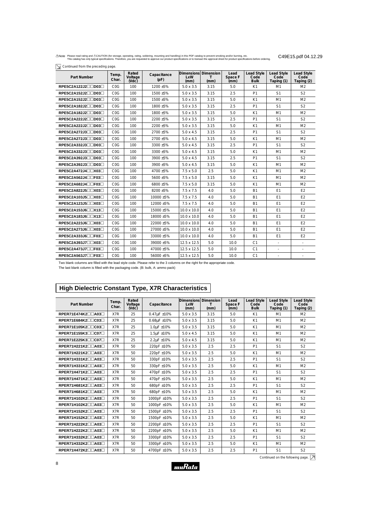| ∕∆Note Please read rating and ∆CAUTION (for storage, operating, rating, soldering, mounting and handling) in this PDF catalog to prevent smoking and/or burning, etc.                          | C49E15.pdf 04.12.29 |
|------------------------------------------------------------------------------------------------------------------------------------------------------------------------------------------------|---------------------|
| This catalog has only typical specifications. Therefore, you are requested to approve our product specifications or to transact the approval sheet for product specifications before ordering. |                     |

|  |  |  | $\overline{\searrow}$ Continued from the preceding page. |  |
|--|--|--|----------------------------------------------------------|--|
|--|--|--|----------------------------------------------------------|--|

| Part Number                         | Temp.<br>Char.   | Rated<br>Voltage<br>(Nd) | Capacitance<br>(pF) | Dimensions Dimension<br><b>LxW</b><br>(mm) | т<br>(mm) | Lead<br>Space F<br>(mm) | <b>Lead Style</b><br>Code<br><b>Bulk</b> | <b>Lead Style</b><br>Code<br>Taping (1) | Lead Style<br>Code<br>Taping (2) |
|-------------------------------------|------------------|--------------------------|---------------------|--------------------------------------------|-----------|-------------------------|------------------------------------------|-----------------------------------------|----------------------------------|
| $RPE5C2A122J2 \Box \Box$ D03 $\Box$ | COG              | 100                      | 1200 ±5%            | $5.0 \times 3.5$                           | 3.15      | 5.0                     | K1                                       | M1                                      | M <sub>2</sub>                   |
| RPE5C2A152J2□□D03□                  | C <sub>0</sub> G | 100                      | 1500 ±5%            | $5.0 \times 3.5$                           | 3.15      | 2.5                     | P <sub>1</sub>                           | S <sub>1</sub>                          | S <sub>2</sub>                   |
| RPE5C2A152J2□□D03□                  | C <sub>0</sub> G | 100                      | 1500 ±5%            | $5.0 \times 3.5$                           | 3.15      | 5.0                     | K1                                       | M1                                      | M <sub>2</sub>                   |
| RPE5C2A182J2□□D03□                  | C <sub>0</sub> G | 100                      | 1800 ±5%            | $5.0 \times 3.5$                           | 3.15      | 2.5                     | P <sub>1</sub>                           | S <sub>1</sub>                          | S <sub>2</sub>                   |
| RPE5C2A182J2□□D03□                  | COG              | 100                      | 1800 ±5%            | $5.0 \times 3.5$                           | 3.15      | 5.0                     | K1                                       | M <sub>1</sub>                          | M <sub>2</sub>                   |
| RPE5C2A222J2□□D03□                  | COG              | 100                      | 2200 ±5%            | $5.0 \times 3.5$                           | 3.15      | 2.5                     | P1                                       | S <sub>1</sub>                          | S <sub>2</sub>                   |
| RPE5C2A222J2∏∏D03∏                  | C <sub>0</sub> G | 100                      | 2200 ±5%            | $5.0 \times 3.5$                           | 3.15      | 5.0                     | K1                                       | M1                                      | M <sub>2</sub>                   |
| RPE5C2A272J3□□D03□                  | COG              | 100                      | 2700 ±5%            | $5.0 \times 4.5$                           | 3.15      | 2.5                     | P <sub>1</sub>                           | S <sub>1</sub>                          | S <sub>2</sub>                   |
| RPE5C2A272J3□□D03□                  | COG              | 100                      | 2700 ±5%            | $5.0 \times 4.5$                           | 3.15      | 5.0                     | K1                                       | M1                                      | M <sub>2</sub>                   |
| RPE5C2A332J3□□D03□                  | C <sub>0</sub> G | 100                      | 3300 ±5%            | $5.0 \times 4.5$                           | 3.15      | 2.5                     | P <sub>1</sub>                           | S <sub>1</sub>                          | S <sub>2</sub>                   |
| RPE5C2A332J3□□D03□                  | C <sub>0</sub> G | 100                      | 3300 ±5%            | $5.0 \times 4.5$                           | 3.15      | 5.0                     | K1                                       | M <sub>1</sub>                          | M <sub>2</sub>                   |
| RPE5C2A392J3□□D03□                  | COG              | 100                      | 3900 ±5%            | $5.0 \times 4.5$                           | 3.15      | 2.5                     | P <sub>1</sub>                           | S <sub>1</sub>                          | S <sub>2</sub>                   |
| RPE5C2A392J3□□D03□                  | C <sub>0</sub> G | 100                      | 3900 ±5%            | $5.0 \times 4.5$                           | 3.15      | 5.0                     | K1                                       | M1                                      | M <sub>2</sub>                   |
| RPE5C2A472J4□□X03□                  | C <sub>0</sub> G | 100                      | 4700 ±5%            | $7.5 \times 5.0$                           | 2.5       | 5.0                     | K1                                       | M1                                      | M <sub>2</sub>                   |
| RPE5C2A562J4□□F03□                  | COG              | 100                      | 5600 ±5%            | $7.5 \times 5.0$                           | 3.15      | 5.0                     | K1                                       | M1                                      | M <sub>2</sub>                   |
| RPE5C2A682J4□□F03□                  | C <sub>0</sub> G | 100                      | 6800 ±5%            | $7.5 \times 5.0$                           | 3.15      | 5.0                     | K1                                       | M1                                      | M <sub>2</sub>                   |
| RPE5C2A822J5□□X03□                  | C <sub>0</sub> G | 100                      | 8200 ±5%            | $7.5 \times 7.5$                           | 4.0       | 5.0                     | <b>B1</b>                                | E <sub>1</sub>                          | E2                               |
| RPE5C2A103J5□□X03□                  | C <sub>0</sub> G | 100                      | 10000 ±5%           | $7.5 \times 7.5$                           | 4.0       | 5.0                     | <b>B1</b>                                | E1                                      | E <sub>2</sub>                   |
| RPE5C2A123J5□□X03□                  | COG              | 100                      | 12000 ±5%           | $7.5 \times 7.5$                           | 4.0       | 5.0                     | <b>B1</b>                                | E1                                      | E <sub>2</sub>                   |
| RPE5C2A153J6□□X13□                  | C <sub>0</sub> G | 100                      | 15000 ±5%           | 10.0 x 10.0                                | 4.0       | 5.0                     | <b>B1</b>                                | E <sub>1</sub>                          | E <sub>2</sub>                   |
| RPE5C2A183J6□□X13□                  | C <sub>0</sub> G | 100                      | 18000 ±5%           | 10.0 x 10.0                                | 4.0       | 5.0                     | <b>B1</b>                                | E1                                      | E <sub>2</sub>                   |
| RPE5C2A223J6□□X03□                  | C <sub>0</sub> G | 100                      | 22000 ±5%           | 10.0 x 10.0                                | 4.0       | 5.0                     | <b>B1</b>                                | E1                                      | E <sub>2</sub>                   |
| RPE5C2A273J6□□X03□                  | C <sub>0</sub> G | 100                      | 27000 ±5%           | 10.0 x 10.0                                | 4.0       | 5.0                     | <b>B1</b>                                | E <sub>1</sub>                          | E2                               |
| RPE5C2A333J6□□F03□                  | C <sub>0</sub> G | 100                      | 33000 ±5%           | 10.0 x 10.0                                | 4.0       | 5.0                     | <b>B1</b>                                | E1                                      | E <sub>2</sub>                   |
| RPE5C2A393J7□□X03□                  | C <sub>0</sub> G | 100                      | 39000 ±5%           | 12.5 x 12.5                                | 5.0       | 10.0                    | C <sub>1</sub>                           | $\overline{\phantom{a}}$                | $\overline{\phantom{a}}$         |
| RPE5C2A473J7□□F03□                  | C <sub>0</sub> G | 100                      | 47000 ±5%           | 12.5 x 12.5                                | 5.0       | 10.0                    | C <sub>1</sub>                           | $\overline{\phantom{a}}$                |                                  |
| RPE5C2A563J7□□F03□                  | C <sub>0</sub> G | 100                      | 56000 ±5%           | 12.5 x 12.5                                | 5.0       | 10.0                    | C <sub>1</sub>                           |                                         |                                  |

Two blank columns are filled with the lead style code. Please refer to the 3 columns on the right for the appropriate code.

The last blank column is filled with the packaging code. (B: bulk, A: ammo pack)

# **High Dielectric Constant Type, X7R Characteristics**

| <b>Part Number</b> | Temp.<br>Char. | Rated<br>Voltage<br>(VdC) | Capacitance      | Dimensions Dimension<br><b>LxW</b><br>(mm) | (mm) | Lead<br>Space F<br>(mm) | <b>Lead Style</b><br>Code<br><b>Bulk</b> | <b>Lead Style</b><br>Code<br>Taping (1) | <b>Lead Style</b><br>Code<br>Taping (2) |
|--------------------|----------------|---------------------------|------------------|--------------------------------------------|------|-------------------------|------------------------------------------|-----------------------------------------|-----------------------------------------|
| RPER71E474K2□□A03□ | X7R            | 25                        | $0.47\mu$ F ±10% | $5.0 \times 3.5$                           | 3.15 | 5.0                     | K1                                       | M1                                      | M <sub>2</sub>                          |
| RPER71E684K2□□C03□ | X7R            | 25                        | 0.68uF ±10%      | $5.0 \times 3.5$                           | 3.15 | 5.0                     | K1                                       | M1                                      | M <sub>2</sub>                          |
| RPER71E105K2□□C03□ | X7R            | 25                        | 1.0uF ±10%       | $5.0 \times 3.5$                           | 3.15 | 5.0                     | K1                                       | M1                                      | M <sub>2</sub>                          |
| RPER71E155K3□□C07□ | X7R            | 25                        | 1.5uF ±10%       | $5.0 \times 4.5$                           | 3.15 | 5.0                     | K1                                       | M1                                      | M <sub>2</sub>                          |
| RPER71E225K3□□C07□ | X7R            | 25                        | 2.2uF ±10%       | $5.0 \times 4.5$                           | 3.15 | 5.0                     | K1                                       | M1                                      | M <sub>2</sub>                          |
| RPER71H221K2□□A03□ | X7R            | 50                        | 220pF ±10%       | $5.0 \times 3.5$                           | 2.5  | 2.5                     | P <sub>1</sub>                           | S <sub>1</sub>                          | S <sub>2</sub>                          |
| RPER71H221K2□□A03□ | X7R            | 50                        | 220pF ±10%       | $5.0 \times 3.5$                           | 2.5  | 5.0                     | K1                                       | M1                                      | M <sub>2</sub>                          |
| RPER71H331K2□□A03□ | X7R            | 50                        | 330pF ±10%       | $5.0 \times 3.5$                           | 2.5  | 2.5                     | P <sub>1</sub>                           | S <sub>1</sub>                          | S <sub>2</sub>                          |
| RPER71H331K2□□A03□ | X7R            | 50                        | 330pF ±10%       | $5.0 \times 3.5$                           | 2.5  | 5.0                     | K1                                       | M1                                      | M <sub>2</sub>                          |
| RPER71H471K2□□A03□ | X7R            | 50                        | 470pF ±10%       | $5.0 \times 3.5$                           | 2.5  | 2.5                     | P <sub>1</sub>                           | S <sub>1</sub>                          | S <sub>2</sub>                          |
| RPER71H471K2□□A03□ | X7R            | 50                        | 470pF ±10%       | $5.0 \times 3.5$                           | 2.5  | 5.0                     | K1                                       | M1                                      | M <sub>2</sub>                          |
| RPER71H681K2□□A03□ | X7R            | 50                        | 680pF ±10%       | $5.0 \times 3.5$                           | 2.5  | 2.5                     | P <sub>1</sub>                           | S <sub>1</sub>                          | S <sub>2</sub>                          |
| RPER71H681K2□□A03□ | X7R            | 50                        | 680pF ±10%       | $5.0 \times 3.5$                           | 2.5  | 5.0                     | K1                                       | M1                                      | M <sub>2</sub>                          |
| RPER71H102K2□□A03□ | X7R            | 50                        | 1000pF ±10%      | $5.0 \times 3.5$                           | 2.5  | 2.5                     | P <sub>1</sub>                           | S <sub>1</sub>                          | S <sub>2</sub>                          |
| RPER71H102K2□□A03□ | X7R            | 50                        | 1000pF ±10%      | $5.0 \times 3.5$                           | 2.5  | 5.0                     | K1                                       | M1                                      | M <sub>2</sub>                          |
| RPER71H152K2□□A03□ | X7R            | 50                        | 1500pF ±10%      | $5.0 \times 3.5$                           | 2.5  | 2.5                     | P <sub>1</sub>                           | S <sub>1</sub>                          | S <sub>2</sub>                          |
| RPER71H152K2□□A03□ | X7R            | 50                        | 1500pF ±10%      | $5.0 \times 3.5$                           | 2.5  | 5.0                     | K1                                       | M1                                      | M <sub>2</sub>                          |
| RPER71H222K2□□A03□ | X7R            | 50                        | 2200pF ±10%      | $5.0 \times 3.5$                           | 2.5  | 2.5                     | P <sub>1</sub>                           | S <sub>1</sub>                          | S <sub>2</sub>                          |
| RPER71H222K2□□A03□ | X7R            | 50                        | 2200pF ±10%      | $5.0 \times 3.5$                           | 2.5  | 5.0                     | K1                                       | M1                                      | M <sub>2</sub>                          |
| RPER71H332K2□□A03□ | X7R            | 50                        | 3300pF ±10%      | $5.0 \times 3.5$                           | 2.5  | 2.5                     | P <sub>1</sub>                           | S <sub>1</sub>                          | S <sub>2</sub>                          |
| RPER71H332K2□□A03□ | X7R            | 50                        | 3300pF ±10%      | $5.0 \times 3.5$                           | 2.5  | 5.0                     | K1                                       | M1                                      | M <sub>2</sub>                          |
| RPER71H472K2□□A03□ | X7R            | 50                        | 4700pF ±10%      | $5.0 \times 3.5$                           | 2.5  | 2.5                     | P <sub>1</sub>                           | S <sub>1</sub>                          | S <sub>2</sub>                          |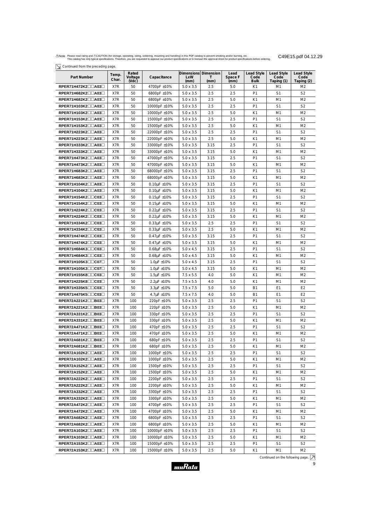$\boxed{\searrow}$  Continued from the preceding page.

| Part Number                                | Temp.<br>Char. | Rated<br>Voltage<br>$($ Vdc $)$ | Capacitance           | <b>LxW</b><br>(mm) | Dimensions Dimension<br>Τ<br>(mm) | Lead<br>Space F<br>(mm) | Lead Style<br>Code<br><b>Bulk</b> | Lead Style<br>Code<br>Taping (1) | Lead Style<br>Code<br>Taping (2) |
|--------------------------------------------|----------------|---------------------------------|-----------------------|--------------------|-----------------------------------|-------------------------|-----------------------------------|----------------------------------|----------------------------------|
| RPER71H472K2□□A03□                         | X7R            | 50                              | 4700pF ±10%           | $5.0 \times 3.5$   | 2.5                               | 5.0                     | K1                                | M1                               | M <sub>2</sub>                   |
| RPER71H682K2□□A03□                         | X7R            | 50                              | 6800pF ±10%           | $5.0 \times 3.5$   | 2.5                               | 2.5                     | P <sub>1</sub>                    | S1                               | S <sub>2</sub>                   |
| RPER71H682K2□□A03□                         | X7R            | 50                              | 6800pF ±10%           | $5.0 \times 3.5$   | 2.5                               | 5.0                     | K1                                | M1                               | M <sub>2</sub>                   |
| RPER71H103K2□□A03□                         | X7R            | 50                              | 10000pF ±10%          | $5.0 \times 3.5$   | 2.5                               | 2.5                     | P <sub>1</sub>                    | S <sub>1</sub>                   | S <sub>2</sub>                   |
| RPER71H103K2□□A03□                         | X7R            | 50                              | 10000pF ±10%          | $5.0 \times 3.5$   | 2.5                               | 5.0                     | K1                                | M1                               | M <sub>2</sub>                   |
| RPER71H153K2□□A03□                         | X7R            | 50                              | 15000pF ±10%          | $5.0 \times 3.5$   | 2.5                               | 2.5                     | P <sub>1</sub>                    | S <sub>1</sub>                   | S <sub>2</sub>                   |
| RPER71H153K2□□A03□                         | X7R            | 50                              | 15000pF ±10%          | $5.0 \times 3.5$   | 2.5                               | 5.0                     | K1                                | M1                               | M <sub>2</sub>                   |
| RPER71H223K2□□A03□                         | X7R            | 50                              | 22000pF ±10%          | $5.0 \times 3.5$   | 2.5                               | 2.5                     | P <sub>1</sub>                    | S1                               | S <sub>2</sub>                   |
| RPER71H223K2□□A03□                         | X7R            | 50                              | 22000pF ±10%          | $5.0 \times 3.5$   | 2.5                               | 5.0                     | K1                                | M1                               | M <sub>2</sub>                   |
| RPER71H333K2□□A03□                         | X7R            | 50                              | 33000pF ±10%          | $5.0 \times 3.5$   | 3.15                              | 2.5                     | P1                                | S1                               | S <sub>2</sub>                   |
| RPER71H333K2□□A03□                         | X7R            | 50                              | 33000pF ±10%          | $5.0 \times 3.5$   | 3.15                              | 5.0                     | K1                                | M1                               | M <sub>2</sub>                   |
| RPER71H473K2□□A03□                         | X7R            | 50                              | 47000pF ±10%          | $5.0 \times 3.5$   | 3.15                              | 2.5                     | P <sub>1</sub>                    | S <sub>1</sub>                   | S <sub>2</sub>                   |
| RPER71H473K2□□A03□                         | X7R            | 50                              | 47000pF ±10%          | $5.0 \times 3.5$   | 3.15                              | 5.0                     | K1                                | M1                               | M <sub>2</sub>                   |
| RPER71H683K2□□A03□                         | X7R            | 50                              | 68000pF ±10%          | $5.0 \times 3.5$   | 3.15                              | 2.5                     | P <sub>1</sub>                    | S <sub>1</sub>                   | S <sub>2</sub>                   |
| RPER71H683K2□□A03□                         | X7R            | 50                              | 68000pF ±10%          | $5.0 \times 3.5$   | 3.15                              | 5.0                     | K1                                | M1                               | M <sub>2</sub>                   |
| RPER71H104K2□□A03□                         | X7R            | 50                              | $0.10\mu F \pm 10\%$  | $5.0 \times 3.5$   | 3.15                              | 2.5                     | P1                                | S1                               | S <sub>2</sub>                   |
| RPER71H104K2□□A03□                         | X7R            | 50                              | $0.10 \mu F \pm 10\%$ | $5.0 \times 3.5$   | 3.15                              | 5.0                     | K1                                | M1                               | M <sub>2</sub>                   |
| RPER71H154K2□□C03□                         | X7R            | 50                              | $0.15\mu$ F ±10%      | $5.0 \times 3.5$   | 3.15                              | 2.5                     | P1                                | S1                               | S <sub>2</sub>                   |
| RPER71H154K2□□C03□                         | X7R            | 50                              | $0.15\mu$ F ±10%      | $5.0 \times 3.5$   | 3.15                              | 5.0                     | K1                                | M1                               | M <sub>2</sub>                   |
| RPER71H224K2□□C03□                         | X7R            | 50                              | $0.22 \mu F \pm 10\%$ | $5.0 \times 3.5$   | 3.15                              | 2.5                     | P <sub>1</sub>                    | S <sub>1</sub>                   | S <sub>2</sub>                   |
| RPER71H224K2□□C03□                         | X7R            | 50                              | $0.22 \mu F \pm 10\%$ | $5.0 \times 3.5$   | 3.15                              | 5.0                     | K1                                | M1                               | M <sub>2</sub>                   |
| $RPER71H334K2 \square \square C03 \square$ | X7R            | 50                              | $0.33\mu$ F ±10%      | $5.0 \times 3.5$   | 2.5                               | 2.5                     | P <sub>1</sub>                    | S1                               | S <sub>2</sub>                   |
| RPER71H334K2□□C03□                         | X7R            | 50                              | $0.33\mu$ F ±10%      | $5.0 \times 3.5$   | 2.5                               | 5.0                     | K1                                | M1                               | M <sub>2</sub>                   |
| RPER71H474K2□□C03□                         | X7R            | 50                              | $0.47 \mu F \pm 10\%$ | $5.0 \times 3.5$   | 3.15                              | 2.5                     | P1                                | S <sub>1</sub>                   | S <sub>2</sub>                   |
| RPER71H474K2□□C03□                         | X7R            | 50                              | $0.47\mu F \pm 10\%$  | $5.0 \times 3.5$   | 3.15                              | 5.0                     | K1                                | M1                               | M <sub>2</sub>                   |
| RPER71H684K3□□C03□                         | X7R            | 50                              | $0.68\mu$ F ±10%      | $5.0 \times 4.5$   | 3.15                              | 2.5                     | P <sub>1</sub>                    | S <sub>1</sub>                   | S <sub>2</sub>                   |
| RPER71H684K3□□C03□                         | X7R            | 50                              | $0.68\mu$ F ±10%      | $5.0 \times 4.5$   | 3.15                              | 5.0                     | K1                                | M1                               | M <sub>2</sub>                   |
| RPER71H105K3□□C07□                         | X7R            | 50                              | 1.0 $\mu$ F ±10%      | $5.0 \times 4.5$   | 3.15                              | 2.5                     | P1                                | S <sub>1</sub>                   | S <sub>2</sub>                   |
| RPER71H105K3□□C07□                         | X7R            | 50                              | 1.0 $\mu$ F ±10%      | $5.0 \times 4.5$   | 3.15                              | 5.0                     | K1                                | M1                               | M <sub>2</sub>                   |
| $RPER71H155K8 \square \square C03 \square$ | X7R            | 50                              | 1.5 $\mu$ F ±10%      | $7.5 \times 5.5$   | 4.0                               | 5.0                     | K1                                | M1                               | M <sub>2</sub>                   |
| RPER71H225K8□□C03□                         | X7R            | 50                              | 2.2uF ±10%            | $7.5 \times 5.5$   | 4.0                               | 5.0                     | K1                                | M1                               | M <sub>2</sub>                   |
| RPER71H335K5□□C03□                         | X7R            | 50                              | 3.3µF ±10%            | $7.5 \times 7.5$   | 5.0                               | 5.0                     | <b>B1</b>                         | E1                               | E <sub>2</sub>                   |
| $RPER71H475K5 \square \square C03 \square$ | X7R            | 50                              | 4.7 $\mu$ F ±10%      | 7.5 x 7.5          | 4.0                               | 5.0                     | <b>B1</b>                         | E1                               | E <sub>2</sub>                   |
| RPER72A221K2 <sup>1</sup> 803 <sup>1</sup> | X7R            | 100                             | 220pF ±10%            | $5.0 \times 3.5$   | 2.5                               | 2.5                     | P1                                | S <sub>1</sub>                   | S2                               |
| RPER72A221K2□□B03□                         | X7R            | 100                             | 220pF ±10%            | $5.0 \times 3.5$   | 2.5                               | 5.0                     | K1                                | M1                               | M <sub>2</sub>                   |
| RPER72A331K2□□B03□                         | X7R            | 100                             | 330pF ±10%            | $5.0 \times 3.5$   | 2.5                               | 2.5                     | P <sub>1</sub>                    | S <sub>1</sub>                   | S <sub>2</sub>                   |
| RPER72A331K2□□B03□                         | X7R            | 100                             | 330pF ±10%            | $5.0 \times 3.5$   | 2.5                               | 5.0                     | K1                                | M1                               | M <sub>2</sub>                   |
| RPER72A471K2□□B03□                         | X7R            | 100                             | 470pF ±10%            | $5.0 \times 3.5$   | 2.5                               | 2.5                     | P1                                | S1                               | S2                               |
| RPER72A471K2□□B03□                         | X7R            | 100                             | 470pF ±10%            | $5.0 \times 3.5$   | 2.5                               | 5.0                     | K1                                | M1                               | M <sub>2</sub>                   |
| $RPER72A681K2 \square \square B03 \square$ | X7R            | 100                             | 680pF ±10%            | $5.0 \times 3.5$   | 2.5                               | 2.5                     | P <sub>1</sub>                    | S1                               | S <sub>2</sub>                   |
| RPER72A681K2□□B03□                         | X7R            | 100                             | 680pF ±10%            | $5.0 \times 3.5$   | 2.5                               | 5.0                     | K1                                | M1                               | M <sub>2</sub>                   |
| RPER72A102K2□□A03□                         | X7R            | 100                             | 1000pF ±10%           | $5.0 \times 3.5$   | 2.5                               | 2.5                     | P <sub>1</sub>                    | S <sub>1</sub>                   | S2                               |
| RPER72A102K2□□A03□                         | X7R            | 100                             | 1000pF ±10%           | $5.0 \times 3.5$   | 2.5                               | 5.0                     | K1                                | M1                               | M <sub>2</sub>                   |
| RPER72A152K2□□A03□                         | X7R            | 100                             | 1500pF ±10%           | $5.0 \times 3.5$   | 2.5                               | 2.5                     | P1                                | S <sub>1</sub>                   | S <sub>2</sub>                   |
| RPER72A152K2□□A03□                         | X7R            | 100                             | 1500pF ±10%           | $5.0 \times 3.5$   | 2.5                               | 5.0                     | K1                                | M1                               | M <sub>2</sub>                   |
| $RPER72A222K2\square A03\square$           | X7R            | 100                             | 2200pF ±10%           | $5.0 \times 3.5$   | 2.5                               | 2.5                     | P1                                | S1                               | S2                               |
| RPER72A222K2□□A03□                         | X7R            | 100                             | 2200pF ±10%           | $5.0 \times 3.5$   | 2.5                               | 5.0                     | K1                                | M1                               | M <sub>2</sub>                   |
| RPER72A332K2□□A03□                         | X7R            | 100                             | 3300pF ±10%           | $5.0 \times 3.5$   | 2.5                               | 2.5                     | P <sub>1</sub>                    | S <sub>1</sub>                   | S <sub>2</sub>                   |
| RPER72A332K2□□A03□                         | X7R            | 100                             | 3300pF ±10%           | $5.0 \times 3.5$   | 2.5                               | 5.0                     | K1                                | M1                               | M <sub>2</sub>                   |
| RPER72A472K2□□A03□                         | X7R            | 100                             | 4700pF ±10%           | $5.0 \times 3.5$   | 2.5                               | 2.5                     | P <sub>1</sub>                    | S <sub>1</sub>                   | S <sub>2</sub>                   |
| RPER72A472K2□□A03□                         | X7R            | 100                             | 4700pF ±10%           | $5.0 \times 3.5$   | 2.5                               | 5.0                     | K1                                | M1                               | M <sub>2</sub>                   |
| $RPER72A682K2 \square \square A03 \square$ | X7R            | 100                             | 6800pF ±10%           | $5.0 \times 3.5$   | 2.5                               | 2.5                     | P <sub>1</sub>                    | S <sub>1</sub>                   | S <sub>2</sub>                   |
| RPER72A682K2□□A03□                         | X7R            | 100                             | 6800pF ±10%           | $5.0 \times 3.5$   | 2.5                               | 5.0                     | K1                                | M1                               | M <sub>2</sub>                   |
| $RPER72A103K2\square\square A03\square$    | X7R            | 100                             | 10000pF ±10%          | $5.0 \times 3.5$   | 2.5                               | 2.5                     | P <sub>1</sub>                    | S1                               | S2                               |
| RPER72A103K2□□A03□                         | X7R            | 100                             | 10000pF ±10%          | $5.0 \times 3.5$   | 2.5                               | 5.0                     | K1                                | M1                               | M <sub>2</sub>                   |
| $RPER72A153K2\square A03\square$           | X7R            | 100                             | 15000pF ±10%          | $5.0 \times 3.5$   | 2.5                               | 2.5                     | P1                                | S1                               | S2                               |
| RPER72A153K2□□A03□                         | X7R            | 100                             | 15000pF ±10%          | $5.0 \times 3.5$   | 2.5                               | 5.0                     | K1                                | M1                               | M <sub>2</sub>                   |

Continued on the following page.  $\boxed{\nearrow}$ 

9

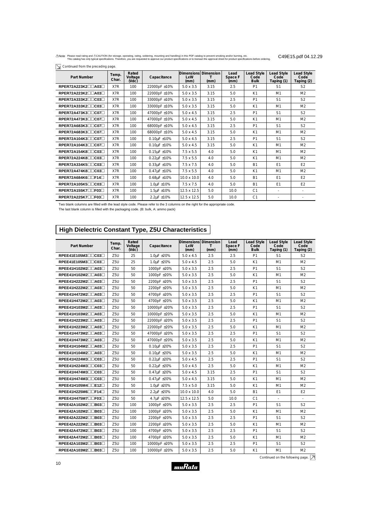$\boxed{\searrow}$  Continued from the preceding page.

| Part Number        | Temp.<br>Char. | Rated<br>Voltage<br>(Vdc) | Capacitance           | Dimensions<br>LxW<br>(mm) | <b>Dimension</b><br>(mm) | Lead<br>Space F<br>(mm) | <b>Lead Style</b><br>Code<br><b>Bulk</b> | <b>Lead Style</b><br>Code<br>Taping (1) | Lead Style<br>Code<br>Taping (2) |
|--------------------|----------------|---------------------------|-----------------------|---------------------------|--------------------------|-------------------------|------------------------------------------|-----------------------------------------|----------------------------------|
| RPER72A223K2□□A03□ | X7R            | 100                       | 22000pF ±10%          | $5.0 \times 3.5$          | 3.15                     | 2.5                     | P <sub>1</sub>                           | S <sub>1</sub>                          | S <sub>2</sub>                   |
| RPER72A223K2□□A03□ | X7R            | 100                       | 22000pF ±10%          | $5.0 \times 3.5$          | 3.15                     | 5.0                     | K1                                       | M <sub>1</sub>                          | M <sub>2</sub>                   |
| RPER72A333K2□□C03□ | X7R            | 100                       | 33000pF ±10%          | $5.0 \times 3.5$          | 3.15                     | 2.5                     | P <sub>1</sub>                           | S <sub>1</sub>                          | S <sub>2</sub>                   |
| RPER72A333K2□□C03□ | X7R            | 100                       | 33000pF ±10%          | $5.0 \times 3.5$          | 3.15                     | 5.0                     | K1                                       | M1                                      | M <sub>2</sub>                   |
| RPER72A473K3□□C07□ | X7R            | 100                       | 47000pF ±10%          | $5.0 \times 4.5$          | 3.15                     | 2.5                     | P <sub>1</sub>                           | S <sub>1</sub>                          | S <sub>2</sub>                   |
| RPER72A473K3□□C07□ | X7R            | 100                       | 47000pF ±10%          | $5.0 \times 4.5$          | 3.15                     | 5.0                     | K1                                       | M1                                      | M <sub>2</sub>                   |
| RPER72A683K3□□C07□ | X7R            | 100                       | 68000pF ±10%          | $5.0 \times 4.5$          | 3.15                     | 2.5                     | P <sub>1</sub>                           | S <sub>1</sub>                          | S <sub>2</sub>                   |
| RPER72A683K3□□C07□ | X7R            | 100                       | 68000pF ±10%          | $5.0 \times 4.5$          | 3.15                     | 5.0                     | K1                                       | M1                                      | M <sub>2</sub>                   |
| RPER72A104K3□□C07□ | X7R            | 100                       | $0.10 \mu F \pm 10\%$ | $5.0 \times 4.5$          | 3.15                     | 2.5                     | P <sub>1</sub>                           | S <sub>1</sub>                          | S <sub>2</sub>                   |
| RPER72A104K3□□C07□ | X7R            | 100                       | $0.10 \mu F \pm 10\%$ | $5.0 \times 4.5$          | 3.15                     | 5.0                     | K1                                       | M1                                      | M <sub>2</sub>                   |
| RPER72A154K8□□C03□ | X7R            | 100                       | $0.15\mu$ F ±10%      | $7.5 \times 5.5$          | 4.0                      | 5.0                     | K1                                       | M1                                      | M <sub>2</sub>                   |
| RPER72A224K8□□C03□ | X7R            | 100                       | $0.22 \mu F \pm 10\%$ | $7.5 \times 5.5$          | 4.0                      | 5.0                     | K1                                       | M1                                      | M <sub>2</sub>                   |
| RPER72A334K5□□C03□ | X7R            | 100                       | $0.33\mu$ F ±10%      | $7.5 \times 7.5$          | 4.0                      | 5.0                     | <b>B1</b>                                | E <sub>1</sub>                          | E <sub>2</sub>                   |
| RPER72A474K8□□C03□ | X7R            | 100                       | $0.47 \mu F \pm 10\%$ | $7.5 \times 5.5$          | 4.0                      | 5.0                     | K1                                       | M1                                      | M <sub>2</sub>                   |
| RPER72A684K6□□F14□ | X7R            | 100                       | $0.68\mu$ F ±10%      | 10.0 x 10.0               | 4.0                      | 5.0                     | <b>B1</b>                                | E <sub>1</sub>                          | E <sub>2</sub>                   |
| RPER72A105K5□□C03□ | X7R            | 100                       | $1.0 \mu F \pm 10\%$  | $7.5 \times 7.5$          | 4.0                      | 5.0                     | <b>B1</b>                                | E <sub>1</sub>                          | E2                               |
| RPER72A155K7□□F03□ | X7R            | 100                       | $1.5 \mu F \pm 10\%$  | 12.5 x 12.5               | 5.0                      | 10.0                    | C <sub>1</sub>                           | ٠                                       |                                  |
| RPER72A225K7□□F03□ | X7R            | 100                       | 2.2µF ±10%            | 12.5 x 12.5               | 5.0                      | 10.0                    | C <sub>1</sub>                           |                                         |                                  |

Two blank columns are filled with the lead style code. Please refer to the 3 columns on the right for the appropriate code.

The last blank column is filled with the packaging code. (B: bulk, A: ammo pack)

# **High Dielectric Constant Type, Z5U Characteristics**

| Part Number                                | Temp.<br>Char.  | Rated<br>Voltage<br>$($ Vdc $)$ | Capacitance            | Dimensions Dimension<br>LxW<br>(mm) | т<br>(mm) | Lead<br>Space F<br>(mm) | <b>Lead Style</b><br>Code<br><b>Bulk</b> | <b>Lead Style</b><br>Code<br>Taping (1) | <b>Lead Style</b><br>Code<br>Taping (2) |
|--------------------------------------------|-----------------|---------------------------------|------------------------|-------------------------------------|-----------|-------------------------|------------------------------------------|-----------------------------------------|-----------------------------------------|
| RPEE41E105M3□□C03□                         | Z <sub>5U</sub> | 25                              | 1.0uF ±20%             | $5.0 \times 4.5$                    | 2.5       | 2.5                     | P <sub>1</sub>                           | S1                                      | S <sub>2</sub>                          |
| RPEE41E105M3□□C03□                         | Z <sub>5U</sub> | 25                              | 1.0uF ±20%             | $5.0 \times 4.5$                    | 2.5       | 5.0                     | K1                                       | M <sub>1</sub>                          | M <sub>2</sub>                          |
| RPEE41H102M2□□A03□                         | Z <sub>5U</sub> | 50                              | 1000pF ±20%            | $5.0 \times 3.5$                    | 2.5       | 2.5                     | P <sub>1</sub>                           | S <sub>1</sub>                          | S <sub>2</sub>                          |
| RPEE41H102M2□□A03□                         | Z <sub>5U</sub> | 50                              | 1000pF ±20%            | $5.0 \times 3.5$                    | 2.5       | 5.0                     | K1                                       | M1                                      | M <sub>2</sub>                          |
| RPEE41H222M2□□A03□                         | Z5U             | 50                              | 2200pF ±20%            | $5.0 \times 3.5$                    | 2.5       | 2.5                     | P <sub>1</sub>                           | S <sub>1</sub>                          | S <sub>2</sub>                          |
| RPEE41H222M2□□A03□                         | Z <sub>5U</sub> | 50                              | 2200pF ±20%            | $5.0 \times 3.5$                    | 2.5       | 5.0                     | K1                                       | M <sub>1</sub>                          | M <sub>2</sub>                          |
| RPEE41H472M2□□A03□                         | Z <sub>5U</sub> | 50                              | 4700pF ±20%            | $5.0 \times 3.5$                    | 2.5       | 2.5                     | P <sub>1</sub>                           | S1                                      | S <sub>2</sub>                          |
| RPEE41H472M2□□A03□                         | Z <sub>5U</sub> | 50                              | 4700pF ±20%            | $5.0 \times 3.5$                    | 2.5       | 5.0                     | K1                                       | M <sub>1</sub>                          | M <sub>2</sub>                          |
| RPEE41H103M2□□A03□                         | Z <sub>5U</sub> | 50                              | 10000pF ±20%           | $5.0 \times 3.5$                    | 2.5       | 2.5                     | P <sub>1</sub>                           | S1                                      | S <sub>2</sub>                          |
| RPEE41H103M2□□A03□                         | Z <sub>5U</sub> | 50                              | 10000pF ±20%           | $5.0 \times 3.5$                    | 2.5       | 5.0                     | K1                                       | M <sub>1</sub>                          | M <sub>2</sub>                          |
| RPEE41H223M2□□A03□                         | Z <sub>5U</sub> | 50                              | 22000pF ±20%           | $5.0 \times 3.5$                    | 2.5       | 2.5                     | P <sub>1</sub>                           | S <sub>1</sub>                          | S <sub>2</sub>                          |
| RPEE41H223M2□□A03□                         | Z5U             | 50                              | 22000pF ±20%           | $5.0 \times 3.5$                    | 2.5       | 5.0                     | K1                                       | M1                                      | M <sub>2</sub>                          |
| RPEE41H473M2□□A03□                         | Z5U             | 50                              | 47000pF ±20%           | $5.0 \times 3.5$                    | 2.5       | 2.5                     | P <sub>1</sub>                           | S <sub>1</sub>                          | S <sub>2</sub>                          |
| RPEE41H473M2□□A03□                         | Z <sub>5U</sub> | 50                              | 47000pF ±20%           | $5.0 \times 3.5$                    | 2.5       | 5.0                     | K1                                       | M1                                      | M <sub>2</sub>                          |
| RPEE41H104M2□□A03□                         | Z <sub>5U</sub> | 50                              | 0.10uF ±20%            | $5.0 \times 3.5$                    | 2.5       | 2.5                     | P <sub>1</sub>                           | S <sub>1</sub>                          | S <sub>2</sub>                          |
| RPEE41H104M2□□A03□                         | Z <sub>5U</sub> | 50                              | $0.10\mu F \pm 20\%$   | $5.0 \times 3.5$                    | 2.5       | 5.0                     | K1                                       | M <sub>1</sub>                          | M <sub>2</sub>                          |
| RPEE41H224M3□□C03□                         | Z <sub>5U</sub> | 50                              | $0.22\mu$ F ±20%       | $5.0 \times 4.5$                    | 2.5       | 2.5                     | P <sub>1</sub>                           | S1                                      | S <sub>2</sub>                          |
| RPEE41H224M3□□C03□                         | Z <sub>5U</sub> | 50                              | $0.22\mu$ F $\pm 20\%$ | $5.0 \times 4.5$                    | 2.5       | 5.0                     | K1                                       | M <sub>1</sub>                          | M <sub>2</sub>                          |
| RPEE41H474M3□□C03□                         | Z <sub>5U</sub> | 50                              | 0.47uF ±20%            | $5.0 \times 4.5$                    | 3.15      | 2.5                     | P <sub>1</sub>                           | S <sub>1</sub>                          | S <sub>2</sub>                          |
| $RPEE41H474M3 \square \square C03 \square$ | Z <sub>5U</sub> | 50                              | 0.47uF ±20%            | $5.0 \times 4.5$                    | 3.15      | 5.0                     | K1                                       | M1                                      | M <sub>2</sub>                          |
| $RPEE41H105M4 \Box \Box E12 \Box$          | Z5U             | 50                              | 1.0uF ±20%             | $7.5 \times 5.0$                    | 3.15      | 5.0                     | K1                                       | M1                                      | M <sub>2</sub>                          |
| $RPEE41H225M6\n\neg\neg\nF14\neg$          | Z <sub>5U</sub> | 50                              | 2.2uF ±20%             | 10.0 x 10.0                         | 4.0       | 5.0                     | <b>B1</b>                                | E1                                      | E <sub>2</sub>                          |
| RPEE41H475M7□□F03□                         | Z <sub>5U</sub> | 50                              | 4.7µF ±20%             | 12.5 x 12.5                         | 5.0       | 10.0                    | C <sub>1</sub>                           | $\overline{\phantom{a}}$                | $\overline{\phantom{a}}$                |
| RPEE42A102M2□□B03□                         | Z <sub>5U</sub> | 100                             | 1000pF ±20%            | $5.0 \times 3.5$                    | 2.5       | 2.5                     | P <sub>1</sub>                           | S1                                      | S <sub>2</sub>                          |
| RPEE42A102M2□□B03□                         | Z <sub>5U</sub> | 100                             | 1000pF ±20%            | $5.0 \times 3.5$                    | 2.5       | 5.0                     | K1                                       | M <sub>1</sub>                          | M <sub>2</sub>                          |
| RPEE42A222M2□□B03□                         | Z <sub>5U</sub> | 100                             | 2200pF ±20%            | $5.0 \times 3.5$                    | 2.5       | 2.5                     | P <sub>1</sub>                           | S1                                      | S <sub>2</sub>                          |
| RPEE42A222M2□□B03□                         | Z <sub>5U</sub> | 100                             | 2200pF ±20%            | $5.0 \times 3.5$                    | 2.5       | 5.0                     | K1                                       | M <sub>1</sub>                          | M <sub>2</sub>                          |
| RPEE42A472M2□□B03□                         | Z <sub>5U</sub> | 100                             | 4700pF ±20%            | $5.0 \times 3.5$                    | 2.5       | 2.5                     | P <sub>1</sub>                           | S <sub>1</sub>                          | S <sub>2</sub>                          |
| RPEE42A472M2□□B03□                         | Z <sub>5U</sub> | 100                             | 4700pF ±20%            | $5.0 \times 3.5$                    | 2.5       | 5.0                     | K1                                       | M <sub>1</sub>                          | M <sub>2</sub>                          |
| $RPEE42A103M2 \Box \Box B03 \Box$          | Z <sub>5U</sub> | 100                             | 10000pF ±20%           | $5.0 \times 3.5$                    | 2.5       | 2.5                     | P <sub>1</sub>                           | S <sub>1</sub>                          | S <sub>2</sub>                          |
| RPEE42A103M2□□B03□                         | Z5U             | 100                             | 10000pF ±20%           | $5.0 \times 3.5$                    | 2.5       | 5.0                     | K1                                       | M1                                      | M <sub>2</sub>                          |

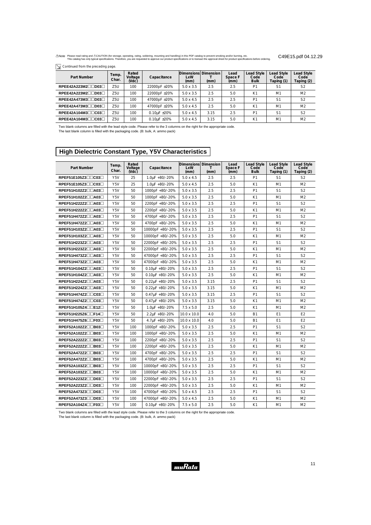$\boxed{\searrow}$  Continued from the preceding page.

| Part Number        | Temp.<br>Char. | Rated<br>Voltage<br>(VdC) | Capacitance          | Dimensions Dimension<br>LxW<br>(mm) | (mm) | Lead<br>Space F<br>(mm) | <b>Lead Style</b><br>Code<br><b>Bulk</b> | <b>Lead Style</b><br>Code<br>Taping (1) | Lead Style<br>Code<br>Taping (2) |
|--------------------|----------------|---------------------------|----------------------|-------------------------------------|------|-------------------------|------------------------------------------|-----------------------------------------|----------------------------------|
| RPEE42A223M2       | Z5U            | 100                       | 22000pF ±20%         | $5.0 \times 3.5$                    | 2.5  | 2.5                     | P <sub>1</sub>                           | S <sub>1</sub>                          | S <sub>2</sub>                   |
| RPEE42A223M2□□D03□ | Z5U            | 100                       | 22000pF ±20%         | $5.0 \times 3.5$                    | 2.5  | 5.0                     | K <sub>1</sub>                           | M1                                      | M <sub>2</sub>                   |
| RPEE42A473M3□□D03□ | Z5U            | 100                       | 47000pF ±20%         | $5.0 \times 4.5$                    | 2.5  | 2.5                     | P <sub>1</sub>                           | S <sub>1</sub>                          | S <sub>2</sub>                   |
| RPEE42A473M3□□D03□ | Z5U            | 100                       | 47000pF ±20%         | $5.0 \times 4.5$                    | 2.5  | 5.0                     | K <sub>1</sub>                           | M1                                      | M <sub>2</sub>                   |
| RPEE42A104M3□□C03□ | Z5U            | 100                       | $0.10\mu F \pm 20\%$ | $5.0 \times 4.5$                    | 3.15 | 2.5                     | P <sub>1</sub>                           | S <sub>1</sub>                          | S <sub>2</sub>                   |
| RPEE42A104M3□□C03□ | Z5U            | 100                       | $0.10\mu F \pm 20\%$ | $5.0 \times 4.5$                    | 3.15 | 5.0                     | K <sub>1</sub>                           | M <sub>1</sub>                          | M <sub>2</sub>                   |

Two blank columns are filled with the lead style code. Please refer to the 3 columns on the right for the appropriate code. The last blank column is filled with the packaging code. (B: bulk, A: ammo pack)

### **High Dielectric Constant Type, Y5V Characteristics**

| <b>Part Number</b>                | Temp.<br>Char.   | Rated<br>Voltage<br>(Vdc) | Capacitance             | Dimensions Dimension<br>LxW<br>(mm) | $\mathsf{T}$<br>(mm) | Lead<br>Space F<br>(mm) | <b>Lead Style</b><br>Code<br><b>Bulk</b> | <b>Lead Style</b><br>Code<br>Taping (1) | <b>Lead Style</b><br>Code<br>Taping (2) |
|-----------------------------------|------------------|---------------------------|-------------------------|-------------------------------------|----------------------|-------------------------|------------------------------------------|-----------------------------------------|-----------------------------------------|
| RPEF51E105Z3□□C03□                | Y5V              | 25                        | $1.0\mu$ F +80/-20%     | $5.0 \times 4.5$                    | 2.5                  | 2.5                     | P <sub>1</sub>                           | S <sub>1</sub>                          | S <sub>2</sub>                          |
| RPEF51E105Z3□□C03□                | Y5V              | 25                        | $1.0\mu$ F +80/-20%     | $5.0 \times 4.5$                    | 2.5                  | 5.0                     | K1                                       | M1                                      | M <sub>2</sub>                          |
| RPEF51H102Z2□□A03□                | Y5V              | 50                        | 1000pF +80/-20%         | $5.0 \times 3.5$                    | 2.5                  | 2.5                     | P <sub>1</sub>                           | S <sub>1</sub>                          | S <sub>2</sub>                          |
| RPEF51H102Z2□□A03□                | Y5V              | 50                        | 1000pF +80/-20%         | $5.0 \times 3.5$                    | 2.5                  | 5.0                     | K1                                       | M1                                      | M <sub>2</sub>                          |
| RPEF51H222Z2□□A03□                | Y <sub>5</sub> V | 50                        | 2200pF +80/-20%         | $5.0 \times 3.5$                    | 2.5                  | 2.5                     | P <sub>1</sub>                           | S <sub>1</sub>                          | S <sub>2</sub>                          |
| RPEF51H222Z2□□A03□                | Y5V              | 50                        | 2200pF +80/-20%         | $5.0 \times 3.5$                    | 2.5                  | 5.0                     | K1                                       | M1                                      | M <sub>2</sub>                          |
| RPEF51H472Z2□□A03□                | Y5V              | 50                        | 4700pF +80/-20%         | $5.0 \times 3.5$                    | 2.5                  | 2.5                     | P <sub>1</sub>                           | S <sub>1</sub>                          | S <sub>2</sub>                          |
| RPEF51H472Z2□□A03□                | Y <sub>5</sub> V | 50                        | 4700pF +80/-20%         | $5.0 \times 3.5$                    | 2.5                  | 5.0                     | K1                                       | M1                                      | M <sub>2</sub>                          |
| RPEF51H103Z2□□A03□                | Y5V              | 50                        | 10000pF +80/-20%        | $5.0 \times 3.5$                    | 2.5                  | 2.5                     | P <sub>1</sub>                           | S <sub>1</sub>                          | S <sub>2</sub>                          |
| RPEF51H103Z2□□A03□                | Y5V              | 50                        | 10000pF +80/-20%        | $5.0 \times 3.5$                    | 2.5                  | 5.0                     | K1                                       | M1                                      | M <sub>2</sub>                          |
| RPEF51H223Z2□□A03□                | Y5V              | 50                        | 22000pF +80/-20%        | $5.0 \times 3.5$                    | 2.5                  | 2.5                     | P <sub>1</sub>                           | S <sub>1</sub>                          | S <sub>2</sub>                          |
| RPEF51H223Z2□□A03□                | Y5V              | 50                        | 22000pF +80/-20%        | $5.0 \times 3.5$                    | 2.5                  | 5.0                     | K1                                       | M1                                      | M <sub>2</sub>                          |
| RPEF51H473Z2□□A03□                | Y <sub>5</sub> V | 50                        | 47000pF +80/-20%        | $5.0 \times 3.5$                    | 2.5                  | 2.5                     | P <sub>1</sub>                           | S <sub>1</sub>                          | S <sub>2</sub>                          |
| RPEF51H473Z2□□A03□                | Y <sub>5</sub> V | 50                        | 47000pF +80/-20%        | $5.0 \times 3.5$                    | 2.5                  | 5.0                     | K1                                       | M1                                      | M <sub>2</sub>                          |
| RPEF51H104Z2□□A03□                | Y5V              | 50                        | $0.10\mu$ F +80/-20%    | $5.0 \times 3.5$                    | 2.5                  | 2.5                     | P <sub>1</sub>                           | S <sub>1</sub>                          | S <sub>2</sub>                          |
| RPEF51H104Z2□□A03□                | Y <sub>5</sub> V | 50                        | $0.10\mu$ F +80/-20%    | $5.0 \times 3.5$                    | 2.5                  | 5.0                     | K1                                       | M1                                      | M <sub>2</sub>                          |
| RPEF51H224Z2□□A03□                | Y <sub>5</sub> V | 50                        | $0.22 \mu$ F +80/-20%   | $5.0 \times 3.5$                    | 3.15                 | 2.5                     | P <sub>1</sub>                           | S <sub>1</sub>                          | S <sub>2</sub>                          |
| RPEF51H224Z2□□A03□                | Y5V              | 50                        | $0.22\mu$ F +80/-20%    | $5.0 \times 3.5$                    | 3.15                 | 5.0                     | K1                                       | M1                                      | M <sub>2</sub>                          |
| RPEF51H474Z2□□C03□                | Y5V              | 50                        | $0.47\mu$ F +80/-20%    | $5.0 \times 3.5$                    | 3.15                 | 2.5                     | P1                                       | S <sub>1</sub>                          | S <sub>2</sub>                          |
| RPEF51H474Z2□□C03□                | Y <sub>5</sub> V | 50                        | $0.47\mu$ F +80/-20%    | $5.0 \times 3.5$                    | 3.15                 | 5.0                     | K1                                       | M1                                      | M <sub>2</sub>                          |
| $RPEF51H105Z4 \Box \Box E12 \Box$ | Y5V              | 50                        | $1.0\mu$ F +80/-20%     | $7.5 \times 5.0$                    | 2.5                  | 5.0                     | K1                                       | M1                                      | M <sub>2</sub>                          |
| RPEF51H225Z6□□F14□                | Y5V              | 50                        | 2.2uF +80/-20%          | 10.0 x 10.0                         | 4.0                  | 5.0                     | <b>B1</b>                                | E <sub>1</sub>                          | E <sub>2</sub>                          |
| RPEF51H475Z6□□F03□                | Y5V              | 50                        | 4.7uF +80/-20%          | $10.0 \times 10.0$                  | 4.0                  | 5.0                     | <b>B1</b>                                | E1                                      | E <sub>2</sub>                          |
| RPEF52A102Z2□□B03□                | Y5V              | 100                       | 1000pF +80/-20%         | $5.0 \times 3.5$                    | 2.5                  | 2.5                     | P <sub>1</sub>                           | S <sub>1</sub>                          | S <sub>2</sub>                          |
| RPEF52A102Z2□□B03□                | Y <sub>5</sub> V | 100                       | 1000pF +80/-20%         | $5.0 \times 3.5$                    | 2.5                  | 5.0                     | K1                                       | M1                                      | M <sub>2</sub>                          |
| RPEF52A222Z2□□B03□                | Y5V              | 100                       | 2200pF +80/-20%         | $5.0 \times 3.5$                    | 2.5                  | 2.5                     | P <sub>1</sub>                           | S <sub>1</sub>                          | S <sub>2</sub>                          |
| RPEF52A222Z2□□B03□                | Y <sub>5</sub> V | 100                       | 2200pF +80/-20%         | $5.0 \times 3.5$                    | 2.5                  | 5.0                     | K1                                       | M1                                      | M <sub>2</sub>                          |
| RPEF52A472Z2□□B03□                | Y5V              | 100                       | 4700pF +80/-20%         | $5.0 \times 3.5$                    | 2.5                  | 2.5                     | P <sub>1</sub>                           | S <sub>1</sub>                          | S <sub>2</sub>                          |
| RPEF52A472Z2□□B03□                | Y5V              | 100                       | 4700pF +80/-20%         | $5.0 \times 3.5$                    | 2.5                  | 5.0                     | K1                                       | M1                                      | M <sub>2</sub>                          |
| RPEF52A103Z2□□B03□                | Y <sub>5</sub> V | 100                       | 10000pF +80/-20%        | $5.0 \times 3.5$                    | 2.5                  | 2.5                     | P <sub>1</sub>                           | S <sub>1</sub>                          | S <sub>2</sub>                          |
| RPEF52A103Z2□□B03□                | Y <sub>5</sub> V | 100                       | 10000pF +80/-20%        | $5.0 \times 3.5$                    | 2.5                  | 5.0                     | K1                                       | M1                                      | M <sub>2</sub>                          |
| RPEF52A223Z2□□D03□                | Y5V              | 100                       | 22000pF +80/-20%        | $5.0 \times 3.5$                    | 2.5                  | 2.5                     | P <sub>1</sub>                           | S <sub>1</sub>                          | S <sub>2</sub>                          |
| RPEF52A223Z2 <sup>1003</sup>      | Y5V              | 100                       | 22000pF +80/-20%        | $5.0 \times 3.5$                    | 2.5                  | 5.0                     | K1                                       | M1                                      | M <sub>2</sub>                          |
| RPEF52A473Z3□□D03□                | Y5V              | 100                       | 47000pF +80/-20%        | $5.0 \times 4.5$                    | 2.5                  | 2.5                     | P <sub>1</sub>                           | S <sub>1</sub>                          | S <sub>2</sub>                          |
| RPEF52A473Z3□□D03□                | Y5V              | 100                       | 47000pF +80/-20%        | $5.0 \times 4.5$                    | 2.5                  | 5.0                     | K1                                       | M <sub>1</sub>                          | M <sub>2</sub>                          |
| RPEF52A104Z4□□F03□                | Y5V              | 100                       | $0.10 \mu F + 80/-20\%$ | $7.5 \times 5.0$                    | 2.5                  | 5.0                     | K1                                       | M <sub>1</sub>                          | M <sub>2</sub>                          |

Two blank columns are filled with the lead style code. Please refer to the 3 columns on the right for the appropriate code.

The last blank column is filled with the packaging code. (B: bulk, A: ammo pack)

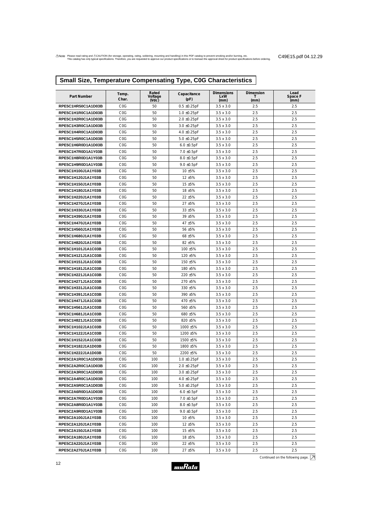# **Small Size, Temperature Compensating Type, C0G Characteristics**

| Part Number                              | Temp.<br>Char.   | Rated<br>Voltage<br>$($ Vdc $)$ | Capacitance<br>(pF)  | Dimensions<br><b>LxW</b><br>(mm)     | Dimension<br>т<br>(mm) | Lead<br>Space F<br>(mm) |
|------------------------------------------|------------------|---------------------------------|----------------------|--------------------------------------|------------------------|-------------------------|
| RPE5C1HR50C1A1D03B                       | COG              | 50                              | $0.5 \pm 0.25$ pF    | $3.5 \times 3.0$                     | 2.5                    | 2.5                     |
| RPE5C1H1R0C1A1D03B                       | C <sub>0</sub> G | 50                              | $1.0 \pm 0.25$ pF    | $3.5 \times 3.0$                     | 2.5                    | 2.5                     |
| RPE5C1H2R0C1A1D03B                       | COG              | 50                              | $2.0 \pm 0.25$ pF    | $3.5 \times 3.0$                     | 2.5                    | 2.5                     |
| RPE5C1H3R0C1A1D03B                       | C <sub>0</sub> G | 50                              | $3.0 \pm 0.25$ pF    | $3.5 \times 3.0$                     | 2.5                    | 2.5                     |
| RPE5C1H4R0C1A1D03B                       | COG              | 50                              | $4.0 \pm 0.25$ pF    | $3.5 \times 3.0$                     | 2.5                    | 2.5                     |
| RPE5C1H5R0C1A1D03B                       | COG              | 50                              | $5.0 \pm 0.25$ pF    | $3.5 \times 3.0$                     | 2.5                    | 2.5                     |
| RPE5C1H6R0D1A1D03B                       | C <sub>0</sub> G | 50                              | $6.0 \pm 0.5$ pF     | $3.5 \times 3.0$                     | 2.5                    | 2.5                     |
| RPE5C1H7R0D1A1Y03B                       | C <sub>0</sub> G | 50                              | $7.0 \pm 0.5$ pF     | $3.5 \times 3.0$                     | 2.5                    | 2.5                     |
| RPE5C1H8R0D1A1Y03B                       | C <sub>0</sub> G | 50                              | $8.0 \pm 0.5$ pF     | $3.5 \times 3.0$                     | 2.5                    | 2.5                     |
| RPE5C1H9R0D1A1Y03B                       | COG              | 50                              | $9.0 \pm 0.5$ pF     | $3.5 \times 3.0$                     | 2.5                    | 2.5                     |
| RPE5C1H100J1A1Y03B                       | C <sub>0</sub> G | 50                              | 10 ±5%               | $3.5 \times 3.0$                     | 2.5                    | 2.5                     |
| RPE5C1H120J1A1Y03B                       | COG              | 50                              | 12 ±5%               | $3.5 \times 3.0$                     | 2.5                    | 2.5                     |
| RPE5C1H150J1A1Y03B                       | C <sub>0</sub> G | 50                              | 15 ±5%               | $3.5 \times 3.0$                     | 2.5                    | 2.5                     |
| RPE5C1H180J1A1Y03B                       | COG              | 50                              | 18 ±5%               | $3.5 \times 3.0$                     | 2.5                    | 2.5                     |
| RPE5C1H220J1A1Y03B                       | C <sub>0</sub> G | 50                              | 22 ±5%               | $3.5 \times 3.0$                     | 2.5                    | 2.5                     |
| RPE5C1H270J1A1Y03B                       | COG              | 50                              | 27 ±5%               | $3.5 \times 3.0$                     | 2.5                    | 2.5                     |
| RPE5C1H330J1A1Y03B                       | C <sub>0</sub> G | 50                              | 33 ±5%               | $3.5 \times 3.0$                     | 2.5                    | 2.5                     |
| RPE5C1H390J1A1Y03B                       | COG              | 50                              | 39 ±5%               | $3.5 \times 3.0$                     | 2.5                    | 2.5                     |
| RPE5C1H470J1A1Y03B                       | C <sub>0</sub> G | 50                              | 47 ±5%               | $3.5 \times 3.0$                     | 2.5                    | 2.5                     |
| RPE5C1H560J1A1Y03B                       | COG              | 50                              | 56 ±5%               | $3.5 \times 3.0$                     | 2.5                    | 2.5                     |
| RPE5C1H680J1A1Y03B                       | C <sub>0</sub> G | 50                              | 68 ±5%               | $3.5 \times 3.0$                     | 2.5                    | 2.5                     |
| RPE5C1H820J1A1Y03B                       | COG              | 50                              | 82 ±5%               | $3.5 \times 3.0$                     | 2.5                    | 2.5                     |
| RPE5C1H101J1A1C03B                       | C <sub>0</sub> G | 50                              | 100 ±5%              | $3.5 \times 3.0$                     | 2.5                    | 2.5                     |
| RPE5C1H121J1A1C03B                       | COG              | 50                              | 120 ±5%              | $3.5 \times 3.0$                     | 2.5                    | 2.5                     |
| RPE5C1H151J1A1C03B                       | C <sub>0</sub> G | 50                              | 150 ±5%              | $3.5 \times 3.0$                     | 2.5                    | 2.5                     |
| RPE5C1H181J1A1C03B                       | C <sub>0</sub> G | 50                              | 180 ±5%              | $3.5 \times 3.0$                     | 2.5                    | 2.5                     |
| RPE5C1H221J1A1C03B                       | C <sub>0</sub> G | 50                              | 220 ±5%              | $3.5 \times 3.0$                     | 2.5                    | 2.5                     |
| RPE5C1H271J1A1C03B                       | COG              | 50                              | 270 ±5%              | $3.5 \times 3.0$                     | 2.5                    | 2.5                     |
| RPE5C1H331J1A1C03B                       | C <sub>0</sub> G | 50                              | 330 ±5%              | $3.5 \times 3.0$                     | 2.5                    | 2.5                     |
| RPE5C1H391J1A1C03B                       | COG              | 50                              | 390 ±5%              | $3.5 \times 3.0$                     | 2.5                    | 2.5                     |
| RPE5C1H471J1A1C03B                       | C <sub>0</sub> G | 50                              | 470 ±5%              | $3.5 \times 3.0$                     | 2.5                    | 2.5                     |
| RPE5C1H561J1A1C03B                       | COG              | 50                              | 560 ±5%              | $3.5 \times 3.0$                     | 2.5                    | 2.5                     |
| RPE5C1H681J1A1C03B                       | COG              | 50                              | 680 ±5%              | $3.5 \times 3.0$                     | 2.5                    | 2.5                     |
| RPE5C1H821J1A1C03B                       | COG<br>COG       | 50<br>50                        | 820 ±5%              | $3.5 \times 3.0$<br>$3.5 \times 3.0$ | 2.5<br>2.5             | 2.5<br>2.5              |
| RPE5C1H102J1A1C03B<br>RPE5C1H122J1A1C03B | COG              | 50                              | 1000 ±5%<br>1200 ±5% | $3.5 \times 3.0$                     | 2.5                    | 2.5                     |
| RPE5C1H152J1A1C03B                       | COG              | 50                              | 1500 ±5%             | $3.5 \times 3.0$                     | 2.5                    | 2.5                     |
| RPE5C1H182J1A1D03B                       | COG              | 50                              | 1800 ±5%             | $3.5 \times 3.0$                     | 2.5                    | 2.5                     |
| RPE5C1H222J1A1D03B                       | C <sub>0</sub> G | 50                              | 2200 ±5%             | $3.5 \times 3.0$                     | 2.5                    | 2.5                     |
| RPE5C2A1R0C1A1D03B                       | COG              | 100                             | $1.0 \pm 0.25pF$     | $3.5 \times 3.0$                     | 2.5                    | 2.5                     |
| RPE5C2A2R0C1A1D03B                       | COG              | 100                             | $2.0 \pm 0.25$ pF    | $3.5 \times 3.0$                     | 2.5                    | 2.5                     |
| RPE5C2A3R0C1A1D03B                       | COG              | 100                             | $3.0 \pm 0.25$ pF    | $3.5 \times 3.0$                     | 2.5                    | 2.5                     |
| RPE5C2A4R0C1A1D03B                       | COG              | 100                             | 4.0 ±0.25pF          | $3.5 \times 3.0$                     | 2.5                    | 2.5                     |
| RPE5C2A5R0C1A1D03B                       | COG              | 100                             | $5.0 \pm 0.25$ pF    | $3.5 \times 3.0$                     | 2.5                    | 2.5                     |
| RPE5C2A6R0D1A1D03B                       | C <sub>0</sub> G | 100                             | $6.0 \pm 0.5$ pF     | $3.5 \times 3.0$                     | 2.5                    | 2.5                     |
| RPE5C2A7R0D1A1Y03B                       | COG              | 100                             | 7.0 $\pm$ 0.5pF      | $3.5 \times 3.0$                     | 2.5                    | 2.5                     |
| RPE5C2A8R0D1A1Y03B                       | COG              | 100                             | $8.0 \pm 0.5$ pF     | $3.5 \times 3.0$                     | 2.5                    | 2.5                     |
| RPE5C2A9R0D1A1Y03B                       | COG              | 100                             | 9.0 $\pm$ 0.5pF      | $3.5 \times 3.0$                     | 2.5                    | 2.5                     |
| RPE5C2A100J1A1Y03B                       | COG              | 100                             | 10 ±5%               | $3.5 \times 3.0$                     | 2.5                    | 2.5                     |
| RPE5C2A120J1A1Y03B                       | COG              | 100                             | 12 ±5%               | $3.5 \times 3.0$                     | 2.5                    | 2.5                     |
| RPE5C2A150J1A1Y03B                       | COG              | 100                             | 15 ±5%               | $3.5 \times 3.0$                     | 2.5                    | 2.5                     |
| RPE5C2A180J1A1Y03B                       | COG              | 100                             | 18 ±5%               | $3.5 \times 3.0$                     | 2.5                    | 2.5                     |
| RPE5C2A220J1A1Y03B                       | COG              | 100                             | 22 ±5%               | $3.5 \times 3.0$                     | 2.5                    | 2.5                     |
| RPE5C2A270J1A1Y03B                       | COG              | 100                             | 27 ±5%               | $3.5 \times 3.0$                     | 2.5                    | 2.5                     |

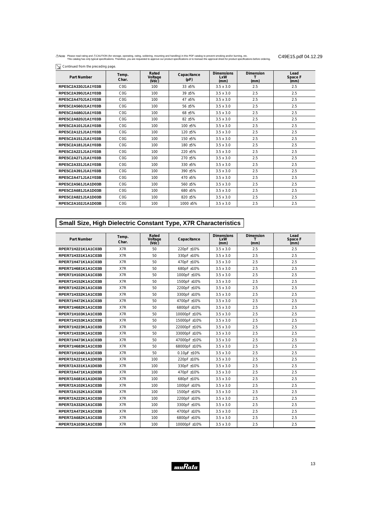$\boxed{\searrow}$  Continued from the preceding page.

| Part Number        | Temp.<br>Char. | Rated<br>Voltage<br>$($ Vdc $)$ | Capacitance<br>(pF) | <b>Dimensions</b><br><b>LxW</b><br>(mm) | <b>Dimension</b><br>(mm) | Lead<br>Space F<br>(mm) |
|--------------------|----------------|---------------------------------|---------------------|-----------------------------------------|--------------------------|-------------------------|
| RPE5C2A330J1A1Y03B | COG            | 100                             | 33 ±5%              | $3.5 \times 3.0$                        | 2.5                      | 2.5                     |
| RPE5C2A390J1A1Y03B | COG            | 100                             | 39 ±5%              | $3.5 \times 3.0$                        | 2.5                      | 2.5                     |
| RPE5C2A470J1A1Y03B | COG            | 100                             | 47 ±5%              | $3.5 \times 3.0$                        | 2.5                      | 2.5                     |
| RPE5C2A560J1A1Y03B | COG            | 100                             | 56 ±5%              | $3.5 \times 3.0$                        | 2.5                      | 2.5                     |
| RPE5C2A680J1A1Y03B | COG            | 100                             | 68 ±5%              | $3.5 \times 3.0$                        | 2.5                      | 2.5                     |
| RPE5C2A820J1A1Y03B | COG            | 100                             | $82 + 5%$           | $3.5 \times 3.0$                        | 2.5                      | 2.5                     |
| RPE5C2A101J1A1Y03B | COG            | 100                             | $100 + 5%$          | $3.5 \times 3.0$                        | 2.5                      | 2.5                     |
| RPE5C2A121J1A1Y03B | COG            | 100                             | $120 + 5%$          | $3.5 \times 3.0$                        | 2.5                      | 2.5                     |
| RPE5C2A151J1A1Y03B | COG            | 100                             | 150 ±5%             | $3.5 \times 3.0$                        | 2.5                      | 2.5                     |
| RPE5C2A181J1A1Y03B | COG            | 100                             | 180 ±5%             | $3.5 \times 3.0$                        | 2.5                      | 2.5                     |
| RPE5C2A221J1A1Y03B | COG            | 100                             | $220 + 5%$          | $3.5 \times 3.0$                        | 2.5                      | 2.5                     |
| RPE5C2A271J1A1Y03B | COG            | 100                             | $270 + 5%$          | $3.5 \times 3.0$                        | 2.5                      | 2.5                     |
| RPE5C2A331J1A1Y03B | COG            | 100                             | 330 ±5%             | $3.5 \times 3.0$                        | 2.5                      | 2.5                     |
| RPE5C2A391J1A1Y03B | COG            | 100                             | 390 ±5%             | $3.5 \times 3.0$                        | 2.5                      | 2.5                     |
| RPE5C2A471J1A1Y03B | COG            | 100                             | 470 ±5%             | $3.5 \times 3.0$                        | 2.5                      | 2.5                     |
| RPE5C2A561J1A1D03B | COG            | 100                             | 560 ±5%             | $3.5 \times 3.0$                        | 2.5                      | 2.5                     |
| RPE5C2A681J1A1D03B | COG            | 100                             | 680 ±5%             | $3.5 \times 3.0$                        | 2.5                      | 2.5                     |
| RPE5C2A821J1A1D03B | COG            | 100                             | $820 + 5%$          | $3.5 \times 3.0$                        | 2.5                      | 2.5                     |
| RPE5C2A102J1A1D03B | COG            | 100                             | $1000 + 5%$         | $3.5 \times 3.0$                        | 2.5                      | 2.5                     |

# **Small Size, High Dielectric Constant Type, X7R Characteristics**

| Part Number        | Temp.<br>Char. | Rated<br>Voltage<br>NdC | Capacitance      | <b>Dimensions</b><br>LxW<br>(mm) | <b>Dimension</b><br>T<br>(mm) | Lead<br>Space F<br>(mm) |
|--------------------|----------------|-------------------------|------------------|----------------------------------|-------------------------------|-------------------------|
| RPER71H221K1A1C03B | X7R            | 50                      | 220pF ±10%       | $3.5 \times 3.0$                 | 2.5                           | 2.5                     |
| RPER71H331K1A1C03B | X7R            | 50                      | 330pF ±10%       | $3.5 \times 3.0$                 | 2.5                           | 2.5                     |
| RPER71H471K1A1C03B | X7R            | 50                      | 470pF ±10%       | $3.5 \times 3.0$                 | 2.5                           | 2.5                     |
| RPER71H681K1A1C03B | X7R            | 50                      | 680pF ±10%       | $3.5 \times 3.0$                 | 2.5                           | 2.5                     |
| RPER71H102K1A1C03B | X7R            | 50                      | 1000pF ±10%      | $3.5 \times 3.0$                 | 2.5                           | 2.5                     |
| RPER71H152K1A1C03B | X7R            | 50                      | 1500pF ±10%      | $3.5 \times 3.0$                 | 2.5                           | 2.5                     |
| RPER71H222K1A1C03B | X7R            | 50                      | 2200pF ±10%      | $3.5 \times 3.0$                 | 2.5                           | 2.5                     |
| RPER71H332K1A1C03B | X7R            | 50                      | 3300pF ±10%      | $3.5 \times 3.0$                 | 2.5                           | 2.5                     |
| RPER71H472K1A1C03B | X7R            | 50                      | 4700pF ±10%      | $3.5 \times 3.0$                 | 2.5                           | 2.5                     |
| RPER71H682K1A1C03B | X7R            | 50                      | 6800pF ±10%      | $3.5 \times 3.0$                 | 2.5                           | 2.5                     |
| RPER71H103K1A1C03B | X7R            | 50                      | 10000pF ±10%     | $3.5 \times 3.0$                 | 2.5                           | 2.5                     |
| RPER71H153K1A1C03B | X7R            | 50                      | 15000pF ±10%     | $3.5 \times 3.0$                 | 2.5                           | 2.5                     |
| RPER71H223K1A1C03B | X7R            | 50                      | 22000pF ±10%     | $3.5 \times 3.0$                 | 2.5                           | 2.5                     |
| RPER71H333K1A1C03B | X7R            | 50                      | 33000pF ±10%     | $3.5 \times 3.0$                 | 2.5                           | 2.5                     |
| RPER71H473K1A1C03B | X7R            | 50                      | 47000pF ±10%     | $3.5 \times 3.0$                 | 2.5                           | 2.5                     |
| RPER71H683K1A1C03B | X7R            | 50                      | 68000pF ±10%     | $3.5 \times 3.0$                 | 2.5                           | 2.5                     |
| RPER71H104K1A1C03B | X7R            | 50                      | $0.10\mu$ F ±10% | $3.5 \times 3.0$                 | 2.5                           | 2.5                     |
| RPER72A221K1A1D03B | X7R            | 100                     | 220pF ±10%       | $3.5 \times 3.0$                 | 2.5                           | 2.5                     |
| RPER72A331K1A1D03B | X7R            | 100                     | 330pF ±10%       | $3.5 \times 3.0$                 | 2.5                           | 2.5                     |
| RPER72A471K1A1D03B | X7R            | 100                     | 470pF ±10%       | $3.5 \times 3.0$                 | 2.5                           | 2.5                     |
| RPER72A681K1A1D03B | X7R            | 100                     | 680pF ±10%       | $3.5 \times 3.0$                 | 2.5                           | 2.5                     |
| RPER72A102K1A1C03B | X7R            | 100                     | 1000pF ±10%      | $3.5 \times 3.0$                 | 2.5                           | 2.5                     |
| RPER72A152K1A1C03B | X7R            | 100                     | 1500pF ±10%      | $3.5 \times 3.0$                 | 2.5                           | 2.5                     |
| RPER72A222K1A1C03B | X7R            | 100                     | 2200pF ±10%      | $3.5 \times 3.0$                 | 2.5                           | 2.5                     |
| RPER72A332K1A1C03B | X7R            | 100                     | 3300pF ±10%      | $3.5 \times 3.0$                 | 2.5                           | 2.5                     |
| RPER72A472K1A1C03B | X7R            | 100                     | 4700pF ±10%      | $3.5 \times 3.0$                 | 2.5                           | 2.5                     |
| RPER72A682K1A1C03B | X7R            | 100                     | 6800pF ±10%      | $3.5 \times 3.0$                 | 2.5                           | 2.5                     |
| RPER72A103K1A1C03B | X7R            | 100                     | 10000pF ±10%     | $3.5 \times 3.0$                 | 2.5                           | 2.5                     |

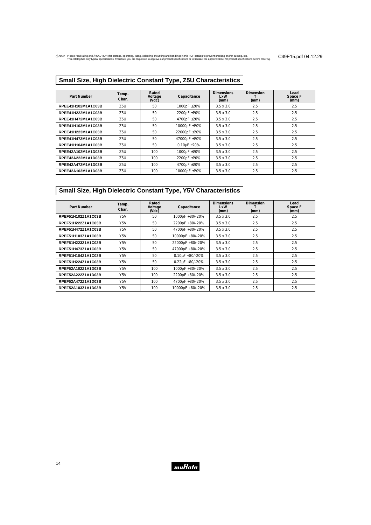# **Small Size, High Dielectric Constant Type, Z5U Characteristics**

| Part Number        | Temp.<br>Char. | Rated<br>Voltage<br>$($ Vdc $)$ | Capacitance          | <b>Dimensions</b><br>LxW<br>(mm) | <b>Dimension</b><br>(mm) | Lead<br>Space F<br>(mm) |
|--------------------|----------------|---------------------------------|----------------------|----------------------------------|--------------------------|-------------------------|
| RPEE41H102M1A1C03B | Z5U            | 50                              | 1000pF ±20%          | $3.5 \times 3.0$                 | 2.5                      | 2.5                     |
| RPEE41H222M1A1C03B | Z5U            | 50                              | 2200pF ±20%          | $3.5 \times 3.0$                 | 2.5                      | 2.5                     |
| RPEE41H472M1A1C03B | Z5U            | 50                              | 4700pF ±20%          | $3.5 \times 3.0$                 | 2.5                      | 2.5                     |
| RPEE41H103M1A1C03B | Z5U            | 50                              | 10000pF ±20%         | $3.5 \times 3.0$                 | 2.5                      | 2.5                     |
| RPEE41H223M1A1C03B | Z5U            | 50                              | 22000pF ±20%         | $3.5 \times 3.0$                 | 2.5                      | 2.5                     |
| RPEE41H473M1A1C03B | Z5U            | 50                              | 47000pF ±20%         | $3.5 \times 3.0$                 | 2.5                      | 2.5                     |
| RPEE41H104M1A1C03B | Z5U            | 50                              | $0.10\mu F \pm 20\%$ | $3.5 \times 3.0$                 | 2.5                      | 2.5                     |
| RPEE42A102M1A1D03B | Z5U            | 100                             | 1000pF ±20%          | $3.5 \times 3.0$                 | 2.5                      | 2.5                     |
| RPEE42A222M1A1D03B | Z5U            | 100                             | 2200pF ±20%          | $3.5 \times 3.0$                 | 2.5                      | 2.5                     |
| RPEE42A472M1A1D03B | Z5U            | 100                             | 4700pF ±20%          | $3.5 \times 3.0$                 | 2.5                      | 2.5                     |
| RPEE42A103M1A1D03B | Z5U            | 100                             | 10000pF ±20%         | $3.5 \times 3.0$                 | 2.5                      | 2.5                     |

# **Small Size, High Dielectric Constant Type, Y5V Characteristics**

| Part Number        | Temp.<br>Char.   | Rated<br>Voltage<br>(Vdc) | Capacitance          | <b>Dimensions</b><br>LxW<br>(mm) | <b>Dimension</b><br>(mm) | Lead<br>Space F<br>(mm) |
|--------------------|------------------|---------------------------|----------------------|----------------------------------|--------------------------|-------------------------|
| RPEF51H102Z1A1C03B | Y <sub>5</sub> V | 50                        | 1000pF +80/-20%      | $3.5 \times 3.0$                 | 2.5                      | 2.5                     |
| RPEF51H222Z1A1C03B | Y5V              | 50                        | 2200pF +80/-20%      | $3.5 \times 3.0$                 | 2.5                      | 2.5                     |
| RPEF51H472Z1A1C03B | Y <sub>5</sub> V | 50                        | 4700pF +80/-20%      | $3.5 \times 3.0$                 | 2.5                      | 2.5                     |
| RPEF51H103Z1A1C03B | Y5V              | 50                        | 10000pF +80/-20%     | $3.5 \times 3.0$                 | 2.5                      | 2.5                     |
| RPEF51H223Z1A1C03B | Y <sub>5</sub> V | 50                        | 22000pF +80/-20%     | $3.5 \times 3.0$                 | 2.5                      | 2.5                     |
| RPEF51H473Z1A1C03B | Y <sub>5</sub> V | 50                        | 47000pF +80/-20%     | $3.5 \times 3.0$                 | 2.5                      | 2.5                     |
| RPEF51H104Z1A1C03B | Y5V              | 50                        | $0.10\mu$ F +80/-20% | $3.5 \times 3.0$                 | 2.5                      | 2.5                     |
| RPEF51H224Z1A1C03B | Y5V              | 50                        | $0.22\mu$ F +80/-20% | $3.5 \times 3.0$                 | 2.5                      | 2.5                     |
| RPEF52A102Z1A1D03B | Y5V              | 100                       | 1000pF +80/-20%      | $3.5 \times 3.0$                 | 2.5                      | 2.5                     |
| RPEF52A222Z1A1D03B | Y5V              | 100                       | 2200pF +80/-20%      | $3.5 \times 3.0$                 | 2.5                      | 2.5                     |
| RPEF52A472Z1A1D03B | Y5V              | 100                       | 4700pF +80/-20%      | $3.5 \times 3.0$                 | 2.5                      | 2.5                     |
| RPEF52A103Z1A1D03B | Y <sub>5</sub> V | 100                       | 10000pF +80/-20%     | $3.5 \times 3.0$                 | 2.5                      | 2.5                     |

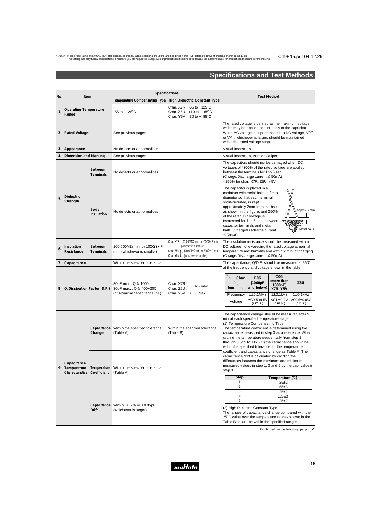# **Specifications and Test Methods**

| No.            | <b>Specifications</b><br>Item                                                      |                             | <b>Test Method</b>                                                                                                                                                                                                                                              |                                                                                                                                                                                                                                                                                                                                                                  |                                                                                                                                                                                                             |                                                                                                                                                                                                                                                                                                                                                                                                                             |  |
|----------------|------------------------------------------------------------------------------------|-----------------------------|-----------------------------------------------------------------------------------------------------------------------------------------------------------------------------------------------------------------------------------------------------------------|------------------------------------------------------------------------------------------------------------------------------------------------------------------------------------------------------------------------------------------------------------------------------------------------------------------------------------------------------------------|-------------------------------------------------------------------------------------------------------------------------------------------------------------------------------------------------------------|-----------------------------------------------------------------------------------------------------------------------------------------------------------------------------------------------------------------------------------------------------------------------------------------------------------------------------------------------------------------------------------------------------------------------------|--|
|                |                                                                                    |                             | Temperature Compensating Type<br><b>High Dielectric Constant Type</b>                                                                                                                                                                                           |                                                                                                                                                                                                                                                                                                                                                                  |                                                                                                                                                                                                             |                                                                                                                                                                                                                                                                                                                                                                                                                             |  |
| $\mathbf{1}$   | <b>Operating Temperature</b><br>Range                                              |                             | $-55$ to $+125^{\circ}$ C                                                                                                                                                                                                                                       | Char. X7R: -55 to +125°C<br>Char. $Z5U : +10$ to + $85^{\circ}$ C<br>Char. Y5V: -30 to + 85°C                                                                                                                                                                                                                                                                    |                                                                                                                                                                                                             |                                                                                                                                                                                                                                                                                                                                                                                                                             |  |
| $\overline{2}$ | <b>Rated Voltage</b>                                                               |                             | See previous pages                                                                                                                                                                                                                                              |                                                                                                                                                                                                                                                                                                                                                                  | within the rated voltage range.                                                                                                                                                                             | The rated voltage is defined as the maximum voltage<br>which may be applied continuously to the capacitor.<br>When AC voltage is superimposed on DC voltage, VP-P<br>or V <sup>O-P</sup> , whichever is larger, should be maintained                                                                                                                                                                                        |  |
| 3              | Appearance                                                                         |                             | No defects or abnormalities                                                                                                                                                                                                                                     |                                                                                                                                                                                                                                                                                                                                                                  | Visual inspection                                                                                                                                                                                           |                                                                                                                                                                                                                                                                                                                                                                                                                             |  |
| 4              | Dimension and Marking                                                              |                             | See previous pages                                                                                                                                                                                                                                              |                                                                                                                                                                                                                                                                                                                                                                  | Visual inspection, Vernier Caliper                                                                                                                                                                          |                                                                                                                                                                                                                                                                                                                                                                                                                             |  |
|                |                                                                                    | <b>Between</b><br>Terminals | No defects or abnormalities                                                                                                                                                                                                                                     |                                                                                                                                                                                                                                                                                                                                                                  | between the terminals for 1 to 5 sec.<br>(Charge/Discharge current $\leq$ 50mA)<br>* 250% for char. X7R, Z5U, Y5V                                                                                           | The capacitors should not be damaged when DC<br>voltages of *300% of the rated voltage are applied                                                                                                                                                                                                                                                                                                                          |  |
| 5              | <b>Dielectric</b><br>Strength<br>Body<br>No defects or abnormalities<br>Insulation |                             |                                                                                                                                                                                                                                                                 | The capacitor is placed in a<br>container with metal balls of 1mm<br>diameter so that each terminal,<br>short-circuited, is kept<br>approximately 2mm from the balls<br>as shown in the figure, and 250%<br>of the rated DC voltage is<br>impressed for 1 to 5 sec. between<br>capacitor terminals and metal<br>balls. (Charge/Discharge current<br>$\leq$ 50mA) | Approx. 2mm<br>10000<br>Metal balls                                                                                                                                                                         |                                                                                                                                                                                                                                                                                                                                                                                                                             |  |
| 6              | Insulation<br>Resistance                                                           | <b>Between</b><br>Terminals | Char. X7R: 100,000M $\Omega$ min. or 1000 $\Omega \cdot F$ min.<br>(whichever is smaller)<br>100,000MΩ min. or 1000Ω • F<br>Char. Z5U 1 10,000M $\Omega$ min. or 500 $\Omega \cdot F$ min.<br>min. (whichever is smaller)<br>Char. Y5V J (whichever is smaller) |                                                                                                                                                                                                                                                                                                                                                                  | The insulation resistance should be measured with a<br>DC voltage not exceeding the rated voltage at normal<br>temperature and humidity and within 2 min. of charging.<br>(Charge/Discharge current ≤ 50mA) |                                                                                                                                                                                                                                                                                                                                                                                                                             |  |
| $\overline{7}$ | Capacitance                                                                        |                             | Within the specified tolerance                                                                                                                                                                                                                                  |                                                                                                                                                                                                                                                                                                                                                                  | The capacitance, Q/D.F. should be measured at 25°C                                                                                                                                                          |                                                                                                                                                                                                                                                                                                                                                                                                                             |  |
| 8              | Q/Dissipation Factor (D.F.)                                                        |                             | 30pF min. : Q ≥ 1000<br>30pF max.: $Q \ge 400+20C$<br>C: Nominal capacitance (pF)                                                                                                                                                                               | ן Char. X7R<br>: 0.025 max.<br>Char. Z5U<br>Char. Y5V : 0.05 max.                                                                                                                                                                                                                                                                                                | Char.<br>Item<br>Frequency<br>Voltage                                                                                                                                                                       | at the frequency and voltage shown in the table.<br>C <sub>0</sub> G<br>C <sub>0</sub> G<br>(more than<br>(1000pF<br>Z <sub>5U</sub><br>1000pF)<br>and below)<br><b>X7R, Y5V</b><br>$1\pm0.1$ MHz<br>$1\pm0.1$ kHz<br>$1\pm0.1$ kHz<br>AC0.5 to 5V<br>$AC1\pm0.2V$<br>AC0.5±0.05V<br>(r.m.s.)<br>(r.m.s.)<br>$(r \, \text{m.s.})$                                                                                           |  |
|                |                                                                                    | Capacitance<br>Change       | Within the specified tolerance<br>(Table A)                                                                                                                                                                                                                     | Within the specified tolerance<br>(Table B)                                                                                                                                                                                                                                                                                                                      |                                                                                                                                                                                                             | The capacitance change should be measured after 5<br>min at each specified temperature stage.<br>(1) Temperature Compensating Type<br>The temperature coefficient is determined using the<br>capacitance measured in step 3 as a reference. When<br>cycling the temperature sequentially from step 1<br>through 5 (-55 to $+125^{\circ}$ C) the capacitance should be<br>within the specified tolerance for the temperature |  |
| 9              | Capacitance<br>Temperature<br><b>Characteristics</b>                               | Temperature<br>Coefficient  | Within the specified tolerance<br>(Table A)                                                                                                                                                                                                                     |                                                                                                                                                                                                                                                                                                                                                                  | step 3.<br><b>Step</b><br>1                                                                                                                                                                                 | coefficient and capacitance change as Table A. The<br>capacitance drift is calculated by dividing the<br>differences between the maximum and minimum<br>measured values in step 1, 3 and 5 by the cap. value in<br>Temperature (°C)<br>$25+2$                                                                                                                                                                               |  |
|                |                                                                                    |                             |                                                                                                                                                                                                                                                                 |                                                                                                                                                                                                                                                                                                                                                                  | $\overline{2}$                                                                                                                                                                                              | $-55±3$                                                                                                                                                                                                                                                                                                                                                                                                                     |  |
|                |                                                                                    |                             |                                                                                                                                                                                                                                                                 |                                                                                                                                                                                                                                                                                                                                                                  | 3<br>4                                                                                                                                                                                                      | $25\pm2$<br>$125 + 3$                                                                                                                                                                                                                                                                                                                                                                                                       |  |
|                |                                                                                    |                             |                                                                                                                                                                                                                                                                 |                                                                                                                                                                                                                                                                                                                                                                  | 5                                                                                                                                                                                                           | $25 + 2$                                                                                                                                                                                                                                                                                                                                                                                                                    |  |
|                |                                                                                    | Capacitance<br><b>Drift</b> | Within $\pm 0.2\%$ or $\pm 0.05pF$<br>(whichever is larger)                                                                                                                                                                                                     |                                                                                                                                                                                                                                                                                                                                                                  | (2) High Dielectric Constant Type                                                                                                                                                                           | The ranges of capacitance change compared with the<br>25°C value over the temperature ranges shown in the<br>Table B should be within the specified ranges.                                                                                                                                                                                                                                                                 |  |

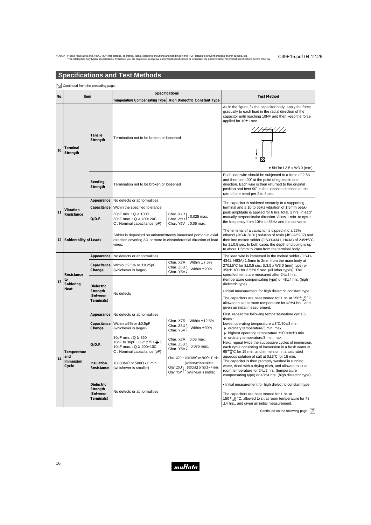# **Specifications and Test Methods**

|    | Continued from the preceding page.                                                                                                                                           |                                                                                        |                                                                                                                        |                                                                                                                                                                                                                                                                                      |                                                                                                                                                                                                                                                                           |  |  |  |
|----|------------------------------------------------------------------------------------------------------------------------------------------------------------------------------|----------------------------------------------------------------------------------------|------------------------------------------------------------------------------------------------------------------------|--------------------------------------------------------------------------------------------------------------------------------------------------------------------------------------------------------------------------------------------------------------------------------------|---------------------------------------------------------------------------------------------------------------------------------------------------------------------------------------------------------------------------------------------------------------------------|--|--|--|
|    | Item<br>No.                                                                                                                                                                  |                                                                                        |                                                                                                                        | Specifications                                                                                                                                                                                                                                                                       | <b>Test Method</b>                                                                                                                                                                                                                                                        |  |  |  |
|    |                                                                                                                                                                              |                                                                                        | Temperature Compensating Type   High Dielectric Constant Type                                                          |                                                                                                                                                                                                                                                                                      |                                                                                                                                                                                                                                                                           |  |  |  |
| 10 | Terminal<br>Strength                                                                                                                                                         | Tensile<br>Strength                                                                    | Termination not to be broken or loosened                                                                               |                                                                                                                                                                                                                                                                                      | As in the figure, fix the capacitor body, apply the force<br>gradually to each lead in the radial direction of the<br>capacitor until reaching 10N* and then keep the force<br>applied for 10±1 sec.<br>F<br>* 5N for L3.5 x W3.0 (mm)                                    |  |  |  |
|    |                                                                                                                                                                              | Bending<br>Strength                                                                    | Termination not to be broken or loosened                                                                               |                                                                                                                                                                                                                                                                                      | Each lead wire should be subjected to a force of 2.5N<br>and then bent 90° at the point of egress in one<br>direction. Each wire is then returned to the original<br>position and bent 90° in the opposite direction at the<br>rate of one bend per 2 to 3 sec.           |  |  |  |
|    |                                                                                                                                                                              | Appearance                                                                             | No defects or abnormalities                                                                                            |                                                                                                                                                                                                                                                                                      | The capacitor is soldered securely to a supporting                                                                                                                                                                                                                        |  |  |  |
|    | Vibration                                                                                                                                                                    | Capacitance                                                                            | Within the specified tolerance                                                                                         |                                                                                                                                                                                                                                                                                      | terminal and a 10 to 55Hz vibration of 1.5mm peak-                                                                                                                                                                                                                        |  |  |  |
| 11 | Resistance                                                                                                                                                                   | Q/D.F.                                                                                 | 30pF min. : Q ≥ 1000<br>30pF max.: Q ≥ 400+20C<br>C: Nominal capacitance (pF)                                          | Char. $X7R$ : 0.025 max.<br>Char. Z5U<br>Char. Y5V : 0.05 max.                                                                                                                                                                                                                       | peak amplitude is applied for 6 hrs. total, 2 hrs. in each<br>mutually perpendicular direction. Allow 1 min. to cycle<br>the frequency from 10Hz to 55Hz and the converse.                                                                                                |  |  |  |
| 12 | Solder is deposited on unintermittently immersed portion in axial<br>Solderability of Leads<br>direction covering 3/4 or more in circumferential direction of lead<br>wires. |                                                                                        |                                                                                                                        | The terminal of a capacitor is dipped into a 25%<br>ethanol (JIS-K-8101) solution of rosin (JIS-K-5902) and<br>then into molten solder (JIS-H-4341, H63A) of 235±5°C<br>for $2\pm0.5$ sec. In both cases the depth of dipping is up<br>to about 1.5mm to 2mm from the terminal body. |                                                                                                                                                                                                                                                                           |  |  |  |
|    |                                                                                                                                                                              | Appearance                                                                             | No defects or abnormalities                                                                                            |                                                                                                                                                                                                                                                                                      | The lead wire is immersed in the melted solder (JIS-H-                                                                                                                                                                                                                    |  |  |  |
|    | Resistance<br>to                                                                                                                                                             | Capacitance<br>Change                                                                  | Within $\pm 2.5\%$ or $\pm 0.25$ pF<br>(whichever is larger)                                                           | Char. $X7R$ : Within $\pm 7.5\%$<br>Char. Z5U : Within ±20%<br>Char. Y5V )                                                                                                                                                                                                           | 4341, H63A) 1.5mm to 2mm from the main body at<br>270 $\pm$ 5°C for 3 $\pm$ 0.5 sec. (L3.5 x W3.0 (mm) type) or<br>350±10°C for 3.5±0.5 sec. (all other types). The<br>specified items are measured after 24±2 hrs.<br>(temperature compensating type) or 48±4 hrs. (high |  |  |  |
| 13 | Soldering<br>Heat                                                                                                                                                            | <b>Dielectric</b><br>Strength                                                          | No defects                                                                                                             |                                                                                                                                                                                                                                                                                      | dielectric type).<br>. Initial measurement for high dielectric constant type                                                                                                                                                                                              |  |  |  |
|    |                                                                                                                                                                              | (Between<br>Terminals)                                                                 |                                                                                                                        |                                                                                                                                                                                                                                                                                      | The capacitors are heat treated for 1 hr. at $150\pm_{10}^6$ °C,<br>allowed to set at room temperature for 48±4 hrs., and<br>given an initial measurement.                                                                                                                |  |  |  |
|    |                                                                                                                                                                              | Appearance                                                                             | No defects or abnormalities                                                                                            |                                                                                                                                                                                                                                                                                      | First, repeat the following temperature/time cycle 5                                                                                                                                                                                                                      |  |  |  |
|    |                                                                                                                                                                              | Capacitance<br>Change                                                                  | Within $\pm 5\%$ or $\pm 0.5$ pF<br>(whichever is larger)                                                              | Char. $X7R : Within \pm 12.5\%$<br>Char. Z5U }: Within ±30%<br>Char. Y5V }: Within ±30%                                                                                                                                                                                              | times:<br>lowest operating temperature ±3°C/30±3 min.<br>> ordinary temperature/3 min. max.<br>$\geq$ highest operating temperature $\pm 3^{\circ}$ C/30 $\pm 3$ min.                                                                                                     |  |  |  |
|    | Temperature<br>and<br>Immersion<br>Cycle                                                                                                                                     | Q/D.F.                                                                                 | 30pF min.: Q ≥ 350<br>10pF to 30pF : Q ≥ 275+ $\frac{5}{2}$ C<br>10pF max.: Q ≥ 200+10C<br>C: Nominal capacitance (pF) | Char. X7R : 0.05 max.<br>Char. Z5U }: 0.075 max.<br>Char. Y5V }: 0.075 max.                                                                                                                                                                                                          | > ordinary temperature/3 min. max.<br>Next, repeat twice the successive cycles of immersion,<br>each cycle consisting of immersion in a fresh water at<br>$65\frac{+5}{0}$ °C for 15 min. and immersion in a saturated                                                    |  |  |  |
| 14 |                                                                                                                                                                              | Insulation<br>Resistance                                                               | 10000M $\Omega$ or 500 $\Omega \cdot F$ min.<br>(whichever is smaller)                                                 | Char. X7R : 10000M $\Omega$ or 500 $\Omega \cdot F$ min.<br>(whichever is smaller)<br>Char. Z5U $\uparrow$ 1000M $\Omega$ or 50 $\Omega \cdot F$ min.<br>Char. Y5V $\int$ (whichever is smaller)                                                                                     | aqueous solution of salt at 0±3°C for 15 min.<br>The capacitor is then promptly washed in running<br>water, dried with a drying cloth, and allowed to sit at<br>room temperature for 24±2 hrs. (temperature<br>compensating type) or 48±4 hrs. (high dielectric type).    |  |  |  |
|    |                                                                                                                                                                              | <b>Dielectric</b><br>Strength<br>No defects or abnormalities<br>(Between<br>Terminals) |                                                                                                                        | • Initial measurement for high dielectric constant type<br>The capacitors are heat treated for 1 hr. at<br>150 $\pm$ <sub>10</sub> °C, allowed to sit at room temperature for 48<br>$\pm$ 4 hrs., and given an initial measurement.                                                  |                                                                                                                                                                                                                                                                           |  |  |  |

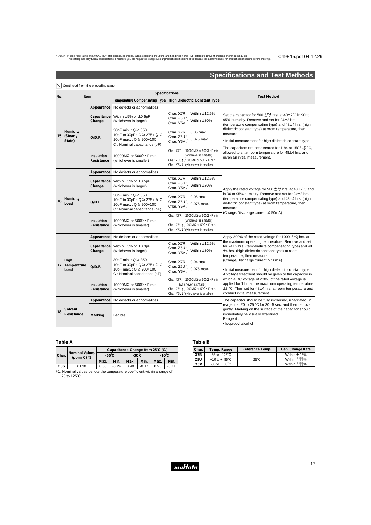# **Specifications and Test Methods**

|     | Continued from the preceding page. |                          |                                                                                                                            |                                                                                                                                                                                       |                                                                                                                                                                                                                  |  |  |
|-----|------------------------------------|--------------------------|----------------------------------------------------------------------------------------------------------------------------|---------------------------------------------------------------------------------------------------------------------------------------------------------------------------------------|------------------------------------------------------------------------------------------------------------------------------------------------------------------------------------------------------------------|--|--|
| No. | Item                               |                          |                                                                                                                            | Specifications                                                                                                                                                                        | <b>Test Method</b>                                                                                                                                                                                               |  |  |
|     |                                    |                          | Temperature Compensating Type<br><b>High Dielectric Constant Type</b>                                                      |                                                                                                                                                                                       |                                                                                                                                                                                                                  |  |  |
|     |                                    | Appearance               | No defects or abnormalities                                                                                                |                                                                                                                                                                                       |                                                                                                                                                                                                                  |  |  |
| 15  |                                    | Capacitance<br>Change    | Within $\pm 5\%$ or $\pm 0.5$ pF<br>(whichever is larger)                                                                  | Char. $X7R$ : Within $\pm 12.5\%$<br>Char. Z5U }: Within ±30%<br>Char. Y5V }: Within ±30%                                                                                             | Set the capacitor for 500 $\pm 24$ hrs. at 40 $\pm 2^{\circ}$ C in 90 to<br>95% humidity. Remove and set for 24±2 hrs.<br>(temperature compensating type) and 48±4 hrs. (high                                    |  |  |
|     | Humidity<br>(Steady<br>State)      | Q/D.F.                   | 30pF min.: $Q \ge 350$<br>10pF to 30pF : Q ≥ 275+ $\frac{5}{2}$ C<br>10pF max.: Q ≥ 200+10C<br>C: Nominal capacitance (pF) | Char. X7R : 0.05 max.<br>Char. Z5U }: 0.075 max.<br>Char. Y5V }: 0.075 max.                                                                                                           | dielectric constant type) at room temperature, then<br>measure.<br>. Initial measurement for high dielectric constant type                                                                                       |  |  |
|     |                                    | Insulation<br>Resistance | 10000MΩ or 500Ω • F min.<br>(whichever is smaller)                                                                         | Char. X7R : 10000M $\Omega$ or 500 $\Omega \cdot F$ min.<br>(whichever is smaller)<br>Char. Z5U 1 1000M $\Omega$ or 50 $\Omega \cdot F$ min.<br>Char. Y5V J (whichever is smaller)    | The capacitors are heat treated for 1 hr. at $150\pm_{10}^4$ °C,<br>allowed to sit at room temperature for 48±4 hrs. and<br>given an initial measurement.                                                        |  |  |
|     |                                    | Appearance               | No defects or abnormalities                                                                                                |                                                                                                                                                                                       |                                                                                                                                                                                                                  |  |  |
|     | Humidity<br>Load                   | Capacitance<br>Change    | Within $\pm 5\%$ or $\pm 0.5$ pF<br>(whichever is larger)                                                                  | Char. X7R : Within ±12.5%<br>Char. Z5U }: Within ±30%<br>Char. Y5V }: Within ±30%                                                                                                     | Apply the rated voltage for 500 $\pm^{24}_{0}$ hrs. at 40 $\pm$ 2°C and                                                                                                                                          |  |  |
| 16  |                                    | Q/D.F.                   | 30pF min. : Q ≥ 350<br>10pF to 30pF : Q ≥ 275+ $\frac{5}{2}$ C<br>10pF max.: Q ≥ 200+10C<br>C: Nominal capacitance (pF)    | Char. X7R : 0.05 max.<br>Char. Z5U }: 0.075 max.<br>Char. Y5V }: 0.075 max.                                                                                                           | in 90 to 95% humidity. Remove and set for 24±2 hrs.<br>(temperature compensating type) and 48±4 hrs. (high<br>dielectric constant type) at room temperature, then<br>measure.                                    |  |  |
|     |                                    | Insulation<br>Resistance | 10000MΩ or 500Ω • F min.<br>(whichever is smaller)                                                                         | Char. X7R : 10000M $\Omega$ or 500 $\Omega \cdot F$ min.<br>(whichever is smaller)<br>Char. Z5U 1 1000M $\Omega$ or 50 $\Omega \cdot F$ min.<br>Char. Y5V J (whichever is smaller)    | (Charge/Discharge current $\leq$ 50mA)                                                                                                                                                                           |  |  |
|     |                                    | Appearance               | No defects or abnormalities                                                                                                |                                                                                                                                                                                       | Apply 200% of the rated voltage for 1000 $^{+48}_{-0}$ hrs. at                                                                                                                                                   |  |  |
|     |                                    | Capacitance<br>Change    | Within $\pm 3\%$ or $\pm 0.3pF$<br>(whichever is larger)                                                                   | Char. $X7R$ : Within $\pm 12.5\%$<br>Char. Z5U }: Within ±30%<br>Char. Y5V }: Within ±30%                                                                                             | the maximum operating temperature. Remove and set<br>for 24±2 hrs. (temperature compensating type) and 48<br>$\pm$ 4 hrs. (high dielectric constant type) at room<br>temperature, then measure.                  |  |  |
| 17  | High<br>Temperature<br>Load        | Q/D.F.                   | 30pF min.: Q ≥ 350<br>10pF to 30pF : Q ≥ 275+ $\frac{5}{2}$ C<br>10pF max.: $Q \ge 200+10C$<br>C: Nominal capacitance (pF) | Char. $X7R = 0.04$ max.<br>Char. Z5U }: 0.075 max.<br>Char. Y5V }: 0.075 max.                                                                                                         | (Charge/Discharge current $\leq$ 50mA)<br>. Initial measurement for high dielectric constant type<br>A voltage treatment should be given to the capacitor in                                                     |  |  |
|     |                                    | Insulation<br>Resistance | 10000MΩ or $500\Omega \cdot F$ min.<br>(whichever is smaller)                                                              | Char. X7R : 10000M $\Omega$ or 500 $\Omega \cdot F$ min.<br>(whichever is smaller)<br>Char. Z5U \ 1000M $\Omega$ or 50 $\Omega \cdot F$ min.<br>Char. Y5V J<br>(whichever is smaller) | which a DC voltage of 200% of the rated voltage is<br>applied for 1 hr. at the maximum operating temperature<br>$\pm$ 3 °C. Then set for 48 $\pm$ 4 hrs. at room temperature and<br>conduct initial measurement. |  |  |
|     |                                    | Appearance               | No defects or abnormalities                                                                                                |                                                                                                                                                                                       | The capacitor should be fully immersed, unagitated, in                                                                                                                                                           |  |  |
| 18  | Solvent<br>Resistance              | Marking                  | Legible                                                                                                                    |                                                                                                                                                                                       | reagent at 20 to 25 °C for 30±5 sec. and then remove<br>gently. Marking on the surface of the capacitor should<br>immediately be visually examined.<br>Reagent:<br>· Isopropyl alcohol                           |  |  |

#### **Table A**

| Char.            |                                 | Capacitance Change from 25°C (%) |         |                 |         |                 |         |
|------------------|---------------------------------|----------------------------------|---------|-----------------|---------|-----------------|---------|
|                  | Nominal Values<br>$(ppm/^c)^*1$ | $-55^{\circ}$ C                  |         | $-30^{\circ}$ C |         | $-10^{\circ}$ C |         |
|                  |                                 | Max.                             | Min.    | Max.            | Min.    | Max.            | Min.    |
| C <sub>0</sub> G | $0 + 30$                        | 0.58                             | $-0.24$ | 0.40            | $-0.17$ | 0.25            | $-0.11$ |

#### **Table B**

| Char. | Reference Temp.<br>Temp. Range          |                | Cap. Change Rate              |
|-------|-----------------------------------------|----------------|-------------------------------|
| X7R   | $-55$ to $+125^{\circ}$ C               |                | Within $\pm$ 15%              |
| Z5U   | +10 to + $85^{\circ}$ C                 | $25^{\circ}$ C | Within $\frac{+22}{-56}$ %    |
| Y5V   | $-30 \text{ to } + 85^{\circ} \text{C}$ |                | Within $\pm$ $\frac{22}{2}$ % |

\*1: Nominal values denote the temperature coefficient within a range of 25 to 125˚C

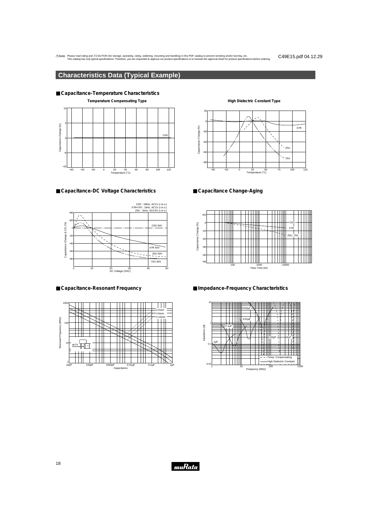### **Characteristics Data (Typical Example)**



■ **Capacitance-DC Voltage Characteristics**



#### ■ **Capacitance-Resonant Frequency**



#### **High Dielectric Constant Type**



#### ■ Capacitance Change-Aging



#### ■ **Impedance-Frequency Characteristics**



muRata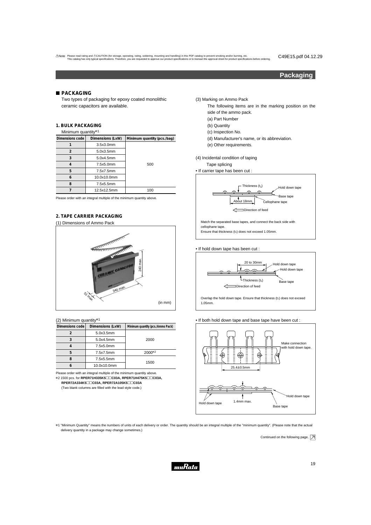#### **Packaging**

#### **PACKAGING**

Two types of packaging for epoxy coated monolithic ceramic capacitors are available.

#### **1. BULK PACKAGING**

| Minimum quantity*1                  |             |                             |  |  |  |
|-------------------------------------|-------------|-----------------------------|--|--|--|
| Dimensions code<br>Dimensions (LxW) |             | Minimum quantity (pcs./bag) |  |  |  |
|                                     | 3.5x3.0mm   |                             |  |  |  |
| 2                                   | 5.0x3.5mm   |                             |  |  |  |
| 3                                   | 5.0x4.5mm   |                             |  |  |  |
| 4                                   | 7.5x5.0mm   | 500                         |  |  |  |
| 5                                   | 7.5x7.5mm   |                             |  |  |  |
| 6                                   | 10.0x10.0mm |                             |  |  |  |
| 8                                   | 7.5x5.5mm   |                             |  |  |  |
|                                     | 12.5x12.5mm | 100                         |  |  |  |

Please order with an integral multiple of the minimum quantity above.

#### **2. TAPE CARRIER PACKAGING** (1) Dimensions of Ammo Pack



#### (2) Minimum quantity\*1

| Dimensions code | Dimensions (LxW) | Minimum quantity (pcs./Ammo Pack) |  |
|-----------------|------------------|-----------------------------------|--|
|                 | 5.0x3.5mm        |                                   |  |
| 3               | 5.0x4.5mm        | 2000                              |  |
|                 | 7.5x5.0mm        |                                   |  |
| 5               | 7.5x7.5mm        | 2000*2                            |  |
|                 | 7.5x5.5mm        |                                   |  |
|                 | 10.0x10.0mm      | 1500                              |  |

Please order with an integral multiple of the minimum quantity above. \*2 1500 pcs. for **RPER71H335K5**pp**C03A, RPER71H475K5**pp**C03A,**

 $RPER72A334K5□□CO3A, RPER72A105K5□□CO3A$ 

(Two blank columns are filled with the lead style code.)

(3) Marking on Ammo Pack

- The following items are in the marking position on the side of the ammo pack.
	- (a) Part Number
	- (b) Quantity
	- (c) Inspection No.
	- (d) Manufacturer's name, or its abbreviation.
	- **1** (e) Other requirements.

(4) Incidental condition of taping



Ensure that thickness (t1) does not exceed 1.05mm.

• If hold down tape has been cut :



Overlap the hold down tape. Ensure that thickness (t1) does not exceed 1.05mm.

• If both hold down tape and base tape have been cut :



\*1 "Minimum Quantity" means the numbers of units of each delivery or order. The quantity should be an integral multiple of the "minimum quantity". (Please note that the actual delivery quantity in a package may change sometimes.)

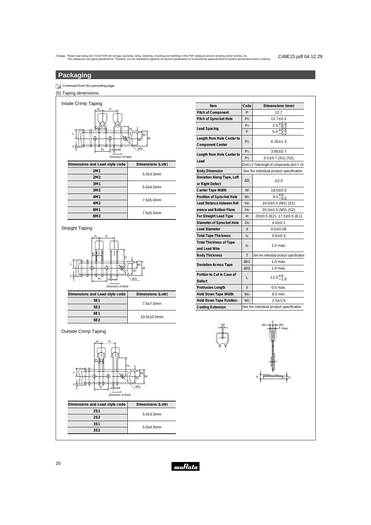### **Packaging**

#### $\boxed{\searrow}$  Continued from the preceding page.

#### (5) Taping dimensions



Straight Taping



| Item                                                  | Code                                     | Dimensions (mm)                               |  |
|-------------------------------------------------------|------------------------------------------|-----------------------------------------------|--|
| Pitch of Component                                    | P                                        | 12.7                                          |  |
| Pitch of Sprocket Hole                                | Po                                       | $12.7 \pm 0.2$                                |  |
|                                                       | F <sub>1</sub>                           | $2.5\substack{+0.4 \\ -0.2}$                  |  |
| Lead Spacing                                          | F                                        | 5.0 $\frac{10.6}{2}$                          |  |
| Length from Hole Center to<br><b>Component Center</b> | P <sub>2</sub>                           | $6.35 \pm 1.3$                                |  |
|                                                       | P <sub>1</sub>                           | $3.85 \pm 0.7$                                |  |
| Length from Hole Center to                            | P <sub>1</sub>                           | 5.1 $\pm$ 0.7 (S1) (S2)                       |  |
| Lead                                                  |                                          | 254±1.5 Total length of components pitch × 20 |  |
| <b>Body Dimension</b>                                 |                                          | See the individual product specification      |  |
| Deviation Along Tape, Left<br>or Right Defect         | ΔS                                       | ±2.0                                          |  |
| Carrier Tape Width                                    | W                                        | $18.0 \pm 0.5$                                |  |
| Position of Sprocket Hole                             | W <sub>1</sub>                           | $9.0^{+0}_{-0.5}$                             |  |
| Lead Distance between Ref-                            | Ho                                       | $16.0 \pm 0.5$ (M1) (S1)                      |  |
| erence and Bottom Plane                               | Ho                                       | 20.0±0.5 (M2) (S2)                            |  |
| For Straight Lead Type                                | н                                        | 20±0.5 (E2), 17.5±0.5 (E1)                    |  |
| Diameter of Sprocket Hole                             | Do                                       | $4.0 + 0.1$                                   |  |
| <b>Lead Diameter</b>                                  | d                                        | $0.5 \pm 0.05$                                |  |
| <b>Total Tape Thickness</b>                           | t <sub>1</sub>                           | $0.6 \pm 0.3$                                 |  |
| <b>Total Thickness of Tape</b><br>and Lead Wire       | t <sub>2</sub>                           | 1.5 max.                                      |  |
| <b>Body Thickness</b>                                 | T                                        | See the individual product specification      |  |
|                                                       | $\Delta h1$                              | $1.0$ max.                                    |  |
| <b>Deviation Across Tape</b>                          | $\Delta h2$                              | 1.0 max.                                      |  |
| Portion to Cut in Case of                             |                                          | $11.0 + 0.0 + 0.0$                            |  |
| Defect                                                | L                                        |                                               |  |
| <b>Protrusion Length</b>                              | l                                        | $0.5$ max.                                    |  |
| <b>Hold Down Tape Width</b>                           | <b>Wo</b>                                | 9.5 min.                                      |  |
| <b>Hold Down Tape Position</b>                        | W <sub>2</sub>                           | $1.5 + 1.5$                                   |  |
| <b>Coating Extension</b>                              | See the individual product specification |                                               |  |

#### Outside Crimp Taping



| Dimensions and Lead style code | Dimensions (LxW) |  |
|--------------------------------|------------------|--|
| <b>2S1</b>                     | 5.0x3.5mm        |  |
| 2S <sub>2</sub>                |                  |  |
| 3S1                            | 5.0x4.5mm        |  |
| 352                            |                  |  |



∆S

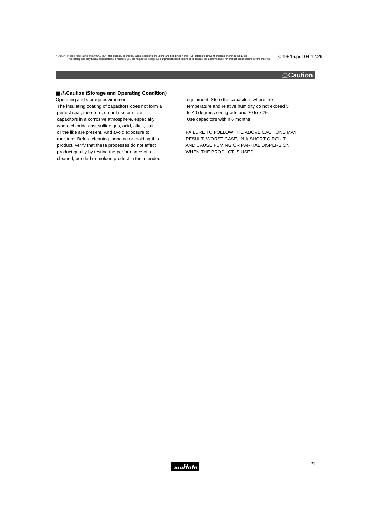#### !**Caution**

■ *∆Caution* (Storage and Operating Condition) Operating and storage environment

The insulating coating of capacitors does not form a perfect seal; therefore, do not use or store capacitors in a corrosive atmosphere, especially where chloride gas, sulfide gas, acid, alkali, salt or the like are present. And avoid exposure to moisture. Before cleaning, bonding or molding this product, verify that these processes do not affect product quality by testing the performance of a cleaned, bonded or molded product in the intended

equipment. Store the capacitors where the temperature and relative humidity do not exceed 5 to 40 degrees centigrade and 20 to 70%. Use capacitors within 6 months.

FAILURE TO FOLLOW THE ABOVE CAUTIONS MAY RESULT, WORST CASE, IN A SHORT CIRCUIT AND CAUSE FUMING OR PARTIAL DISPERSION WHEN THE PRODUCT IS USED.

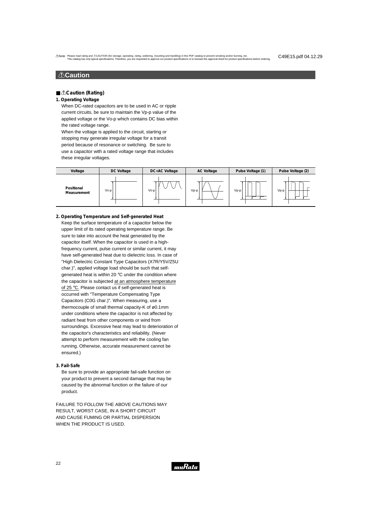### ■!!**CCaau ution (Rating) tion**

- *<u>A</u>*Caution (Rating)
- **1. Operating Voltage**

When DC-rated capacitors are to be used in AC or ripple current circuits, be sure to maintain the Vp-p value of the applied voltage or the Vo-p which contains DC bias within the rated voltage range.

When the voltage is applied to the circuit, starting or stopping may generate irregular voltage for a transit period because of resonance or switching. Be sure to use a capacitor with a rated voltage range that includes these irregular voltages.

| Voltage                   | DC Voltage | DC+AC Voltage | <b>AC Voltage</b> | Pulse Voltage (1) | Pulse Voltage (2) |
|---------------------------|------------|---------------|-------------------|-------------------|-------------------|
| Positional<br>Measurement | $V_0-p$    | $V_0$ -p      | $Vp-p$            | Vp-p              | Vp-p<br>-         |

- Keep the surface temperature of a capacitor below the upper limit of its rated operating temperature range. Be sure to take into account the heat generated by the capacitor itself. When the capacitor is used in a highfrequency current, pulse current or similar current, it may have self-generated heat due to dielectric loss. In case of "High Dielectric Constant Type Capacitors (X7R/Y5V/Z5U char.)", applied voltage load should be such that selfgenerated heat is within 20 °C under the condition where the capacitor is subjected at an atmosphere temperature of 25 °C. Please contact us if self-generated heat is occurred with "Temperature Compensating Type Capacitors (C0G char.)". When measuring, use a thermocouple of small thermal capacity-K of ø0.1mm under conditions where the capacitor is not affected by radiant heat from other components or wind from surroundings. Excessive heat may lead to deterioration of the capacitor's characteristics and reliability. (Never attempt to perform measurement with the cooling fan running. Otherwise, accurate measurement cannot be ensured.) **2. Operating Temperature and Self-generated Heat**
- **3. Fail-Safe**

Be sure to provide an appropriate fail-safe function on your product to prevent a second damage that may be caused by the abnormal function or the failure of our product.

FAILURE TO FOLLOW THE ABOVE CAUTIONS MAY RESULT, WORST CASE, IN A SHORT CIRCUIT AND CAUSE FUMING OR PARTIAL DISPERSION WHEN THE PRODUCT IS USED.

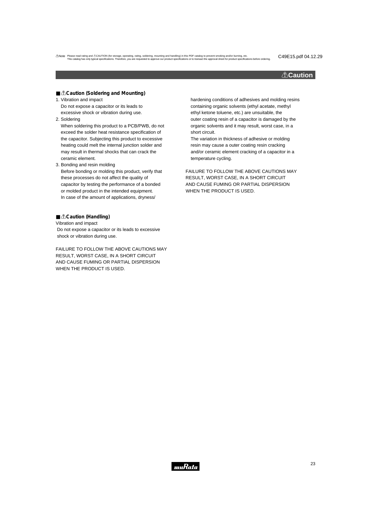#### !**Caution**

■ *<u>A</u>*Caution (Soldering and Mounting)

1. Vibration and impact Do not expose a capacitor or its leads to

excessive shock or vibration during use. 2. Soldering

When soldering this product to a PCB/PWB, do not exceed the solder heat resistance specification of the capacitor. Subjecting this product to excessive heating could melt the internal junction solder and may result in thermal shocks that can crack the ceramic element.

3. Bonding and resin molding Before bonding or molding this product, verify that these processes do not affect the quality of capacitor by testing the performance of a bonded or molded product in the intended equipment. In case of the amount of applications, dryness/

#### ■ *<u>A</u>***Caution (Handling)**

Vibration and impact

Do not expose a capacitor or its leads to excessive shock or vibration during use.

FAILURE TO FOLLOW THE ABOVE CAUTIONS MAY RESULT, WORST CASE, IN A SHORT CIRCUIT AND CAUSE FUMING OR PARTIAL DISPERSION WHEN THE PRODUCT IS USED.

hardening conditions of adhesives and molding resins containing organic solvents (ethyl acetate, methyl ethyl ketone toluene, etc.) are unsuitable, the outer coating resin of a capacitor is damaged by the organic solvents and it may result, worst case, in a short circuit.

The variation in thickness of adhesive or molding resin may cause a outer coating resin cracking and/or ceramic element cracking of a capacitor in a temperature cycling.

FAILURE TO FOLLOW THE ABOVE CAUTIONS MAY RESULT, WORST CASE, IN A SHORT CIRCUIT AND CAUSE FUMING OR PARTIAL DISPERSION WHEN THE PRODUCT IS USED.

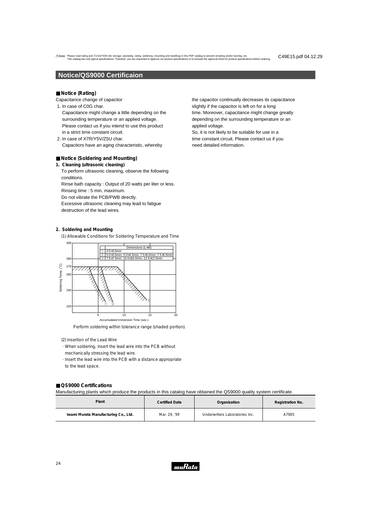#### **Notice/QS9000 Certificaion**

#### ■ **Notice (Rating)**

Capacitance change of capacitor

- 1. In case of C0G char.
- Capacitance might change a little depending on the surrounding temperature or an applied voltage. Please contact us if you intend to use this product in a strict time constant circuit.
- 2. In case of X7R/Y5V/Z5U char. Capacitors have an aging characteristic, whereby

#### ■ **Notice (Soldering and Mounting)**

**1. Cleaning (ultrasonic cleaning)** To perform ultrasonic cleaning, observe the following conditions. Rinse bath capacity : Output of 20 watts per liter or less. Rinsing time : 5 min. maximum. Do not vibrate the PCB/PWB directly. Excessive ultrasonic cleaning may lead to fatigue destruction of the lead wires.

#### **2. Soldering and Mounting**

(1) Allowable Conditions for Soldering Temperature and Time



Perform soldering within tolerance range (shaded portion).

#### (2) Insertion of the Lead Wire

- · When soldering, insert the lead wire into the PCB without mechanically stressing the lead wire.
- · Insert the lead wire into the PCB with a distance appropriate to the lead space.

#### ■ **QS9000** Certifications

Manufacturing plants which produce the products in this catalog have obtained the QS9000 quality system certificate.

| Plant                                | <b>Certified Date</b> | Organization                   | Registration No. |
|--------------------------------------|-----------------------|--------------------------------|------------------|
| Iwami Murata Manufacturing Co., Ltd. | Mar. 29, '99          | Underwriters Laboratories Inc. | A7905            |

the capacitor continually decreases its capacitance slightly if the capacitor is left on for a long time. Moreover, capacitance might change greatly depending on the surrounding temperature or an applied voltage.

So, it is not likely to be suitable for use in a time constant circuit. Please contact us if you need detailed information.